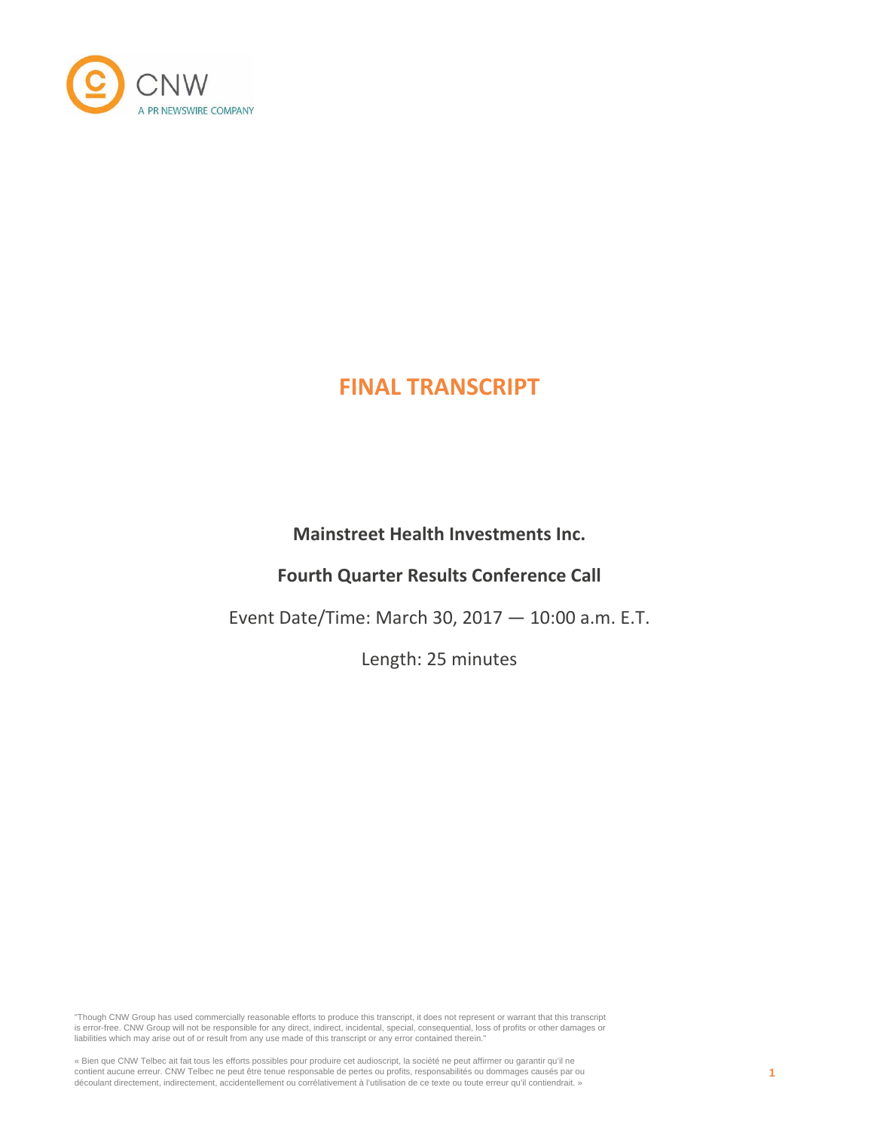

# **Mainstreet Health Investments Inc.**

# **Fourth Quarter Results Conference Call**

Event Date/Time: March 30, 2017 — 10:00 a.m. E.T.

Length: 25 minutes

"Though CNW Group has used commercially reasonable efforts to produce this transcript, it does not represent or warrant that this transcript is error-free. CNW Group will not be responsible for any direct, indirect, incidental, special, consequential, loss of profits or other damages or liabilities which may arise out of or result from any use made of this transcript or any error contained therein."

« Bien que CNW Telbec ait fait tous les efforts possibles pour produire cet audioscript, la société ne peut affirmer ou garantir qu'il ne<br>contient aucune erreur. CNW Telbec ne peut être tenue responsable de pertes ou profi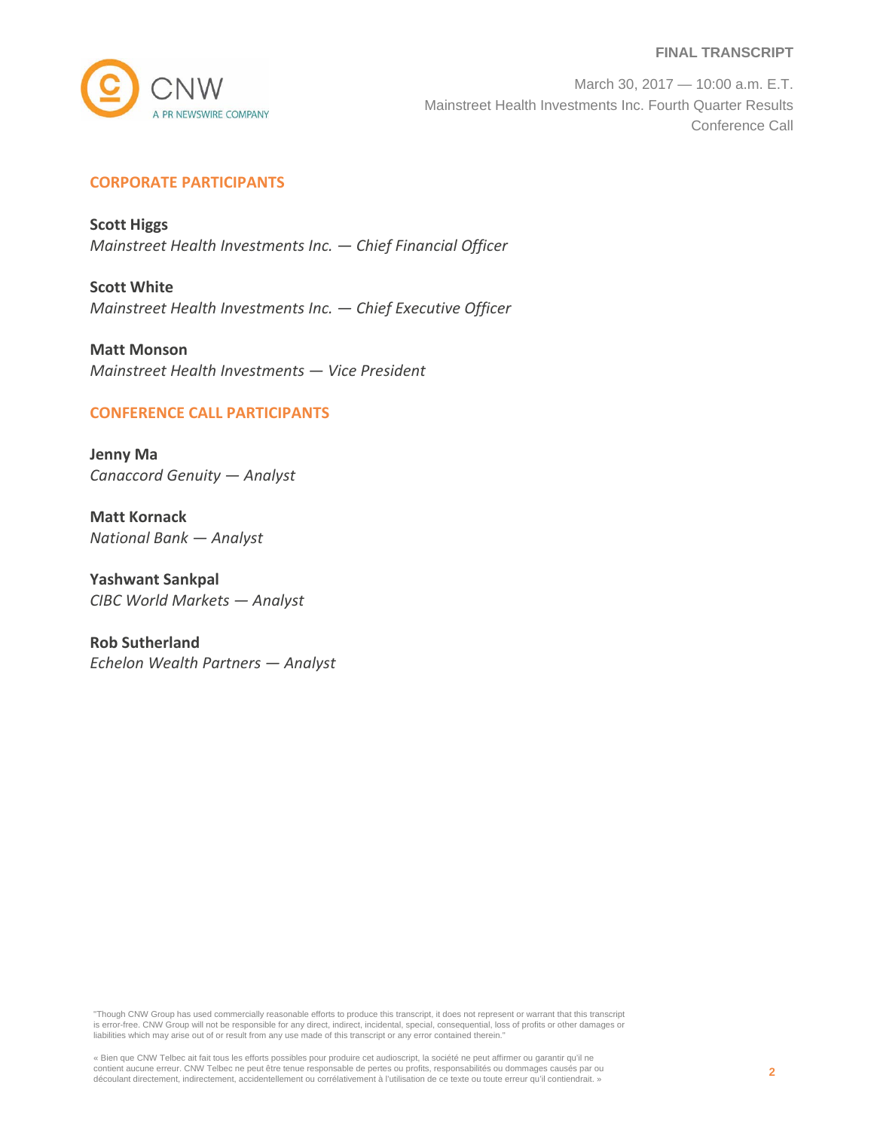

March 30, 2017 — 10:00 a.m. E.T. Mainstreet Health Investments Inc. Fourth Quarter Results Conference Call

# **CORPORATE PARTICIPANTS**

**Scott Higgs** *Mainstreet Health Investments Inc. — Chief Financial Officer*

**Scott White** *Mainstreet Health Investments Inc. — Chief Executive Officer*

**Matt Monson** *Mainstreet Health Investments — Vice President*

# **CONFERENCE CALL PARTICIPANTS**

**Jenny Ma** *Canaccord Genuity — Analyst*

**Matt Kornack** *National Bank — Analyst*

**Yashwant Sankpal** *CIBC World Markets — Analyst*

**Rob Sutherland** *Echelon Wealth Partners — Analyst*

"Though CNW Group has used commercially reasonable efforts to produce this transcript, it does not represent or warrant that this transcript is error-free. CNW Group will not be responsible for any direct, indirect, incidental, special, consequential, loss of profits or other damages or liabilities which may arise out of or result from any use made of this transcript or any error contained therein."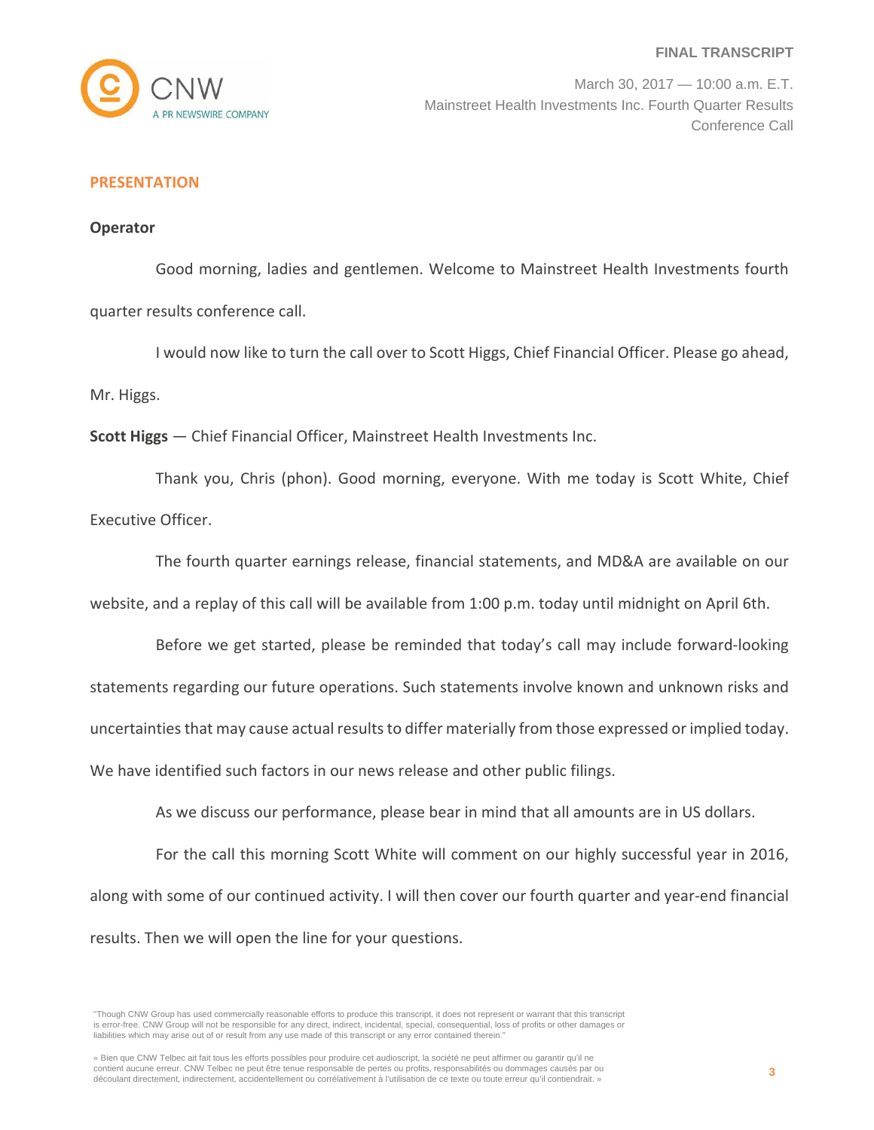

March 30, 2017 — 10:00 a.m. E.T. Mainstreet Health Investments Inc. Fourth Quarter Results Conference Call

# **PRESENTATION**

#### **Operator**

Good morning, ladies and gentlemen. Welcome to Mainstreet Health Investments fourth quarter results conference call.

I would now like to turn the call over to Scott Higgs, Chief Financial Officer. Please go ahead, Mr. Higgs.

**Scott Higgs** — Chief Financial Officer, Mainstreet Health Investments Inc.

Thank you, Chris (phon). Good morning, everyone. With me today is Scott White, Chief Executive Officer.

The fourth quarter earnings release, financial statements, and MD&A are available on our website, and a replay of this call will be available from 1:00 p.m. today until midnight on April 6th.

Before we get started, please be reminded that today's call may include forward-looking statements regarding our future operations. Such statements involve known and unknown risks and uncertainties that may cause actual results to differ materially from those expressed or implied today. We have identified such factors in our news release and other public filings.

As we discuss our performance, please bear in mind that all amounts are in US dollars.

For the call this morning Scott White will comment on our highly successful year in 2016, along with some of our continued activity. I will then cover our fourth quarter and year-end financial results. Then we will open the line for your questions.

<sup>&</sup>quot;Though CNW Group has used commercially reasonable efforts to produce this transcript, it does not represent or warrant that this transcript is error-free. CNW Group will not be responsible for any direct, indirect, incidental, special, consequential, loss of profits or other damages or liabilities which may arise out of or result from any use made of this transcript or any error contained therein."

<sup>«</sup> Bien que CNW Telbec ait fait tous les efforts possibles pour produire cet audioscript, la société ne peut affirmer ou garantir qu'il ne contient aucune erreur. CNW Telbec ne peut être tenue responsable de pertes ou profits, responsabilités ou dommages causés par ou découlant directement, indirectement, accidentellement ou corrélativement à l'utilisation de ce texte ou toute erreur qu'il contiendrait. »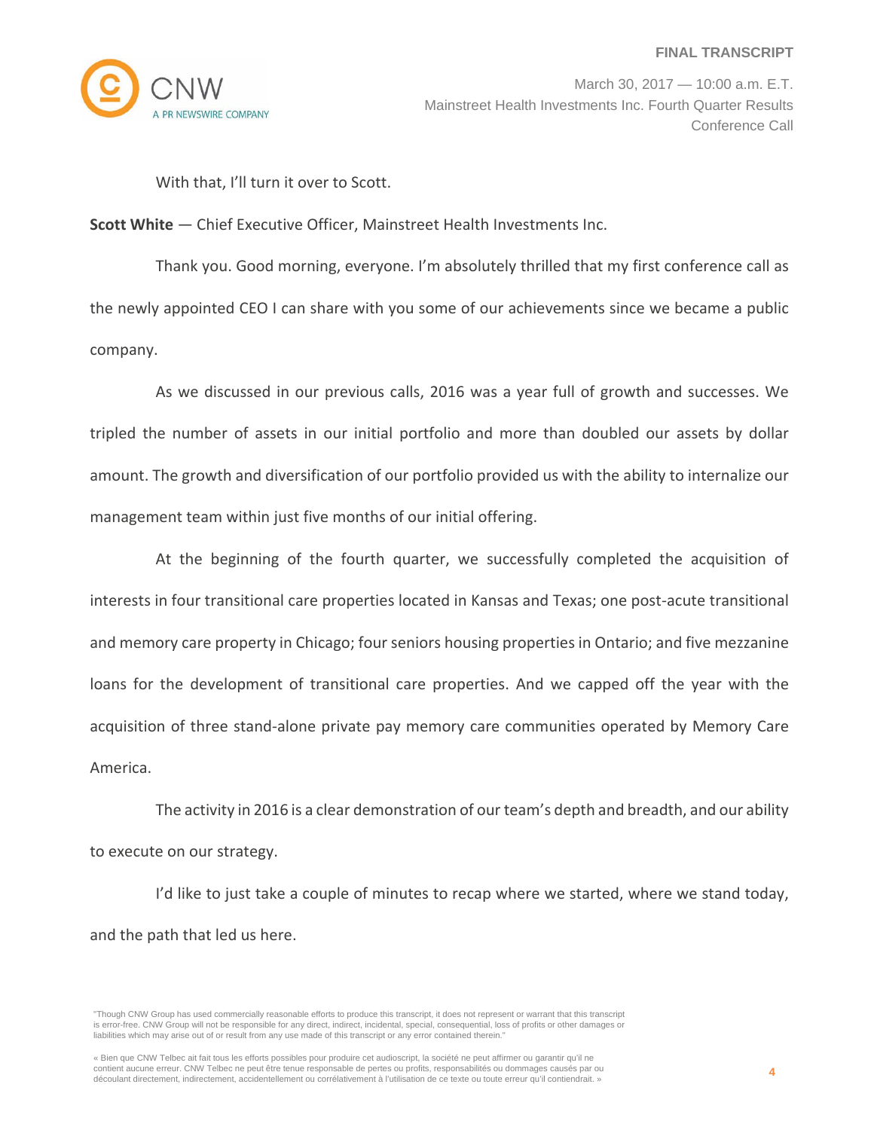

March 30, 2017 — 10:00 a.m. E.T. Mainstreet Health Investments Inc. Fourth Quarter Results Conference Call

With that, I'll turn it over to Scott.

**Scott White** — Chief Executive Officer, Mainstreet Health Investments Inc.

Thank you. Good morning, everyone. I'm absolutely thrilled that my first conference call as the newly appointed CEO I can share with you some of our achievements since we became a public company.

As we discussed in our previous calls, 2016 was a year full of growth and successes. We tripled the number of assets in our initial portfolio and more than doubled our assets by dollar amount. The growth and diversification of our portfolio provided us with the ability to internalize our management team within just five months of our initial offering.

At the beginning of the fourth quarter, we successfully completed the acquisition of interests in four transitional care properties located in Kansas and Texas; one post‐acute transitional and memory care property in Chicago; four seniors housing properties in Ontario; and five mezzanine loans for the development of transitional care properties. And we capped off the year with the acquisition of three stand‐alone private pay memory care communities operated by Memory Care America.

The activity in 2016 is a clear demonstration of our team's depth and breadth, and our ability to execute on our strategy.

I'd like to just take a couple of minutes to recap where we started, where we stand today, and the path that led us here.

<sup>&</sup>quot;Though CNW Group has used commercially reasonable efforts to produce this transcript, it does not represent or warrant that this transcript is error-free. CNW Group will not be responsible for any direct, indirect, incidental, special, consequential, loss of profits or other damages or liabilities which may arise out of or result from any use made of this transcript or any error contained therein."

<sup>«</sup> Bien que CNW Telbec ait fait tous les efforts possibles pour produire cet audioscript, la société ne peut affirmer ou garantir qu'il ne contient aucune erreur. CNW Telbec ne peut être tenue responsable de pertes ou profits, responsabilités ou dommages causés par ou découlant directement, indirectement, accidentellement ou corrélativement à l'utilisation de ce texte ou toute erreur qu'il contiendrait. »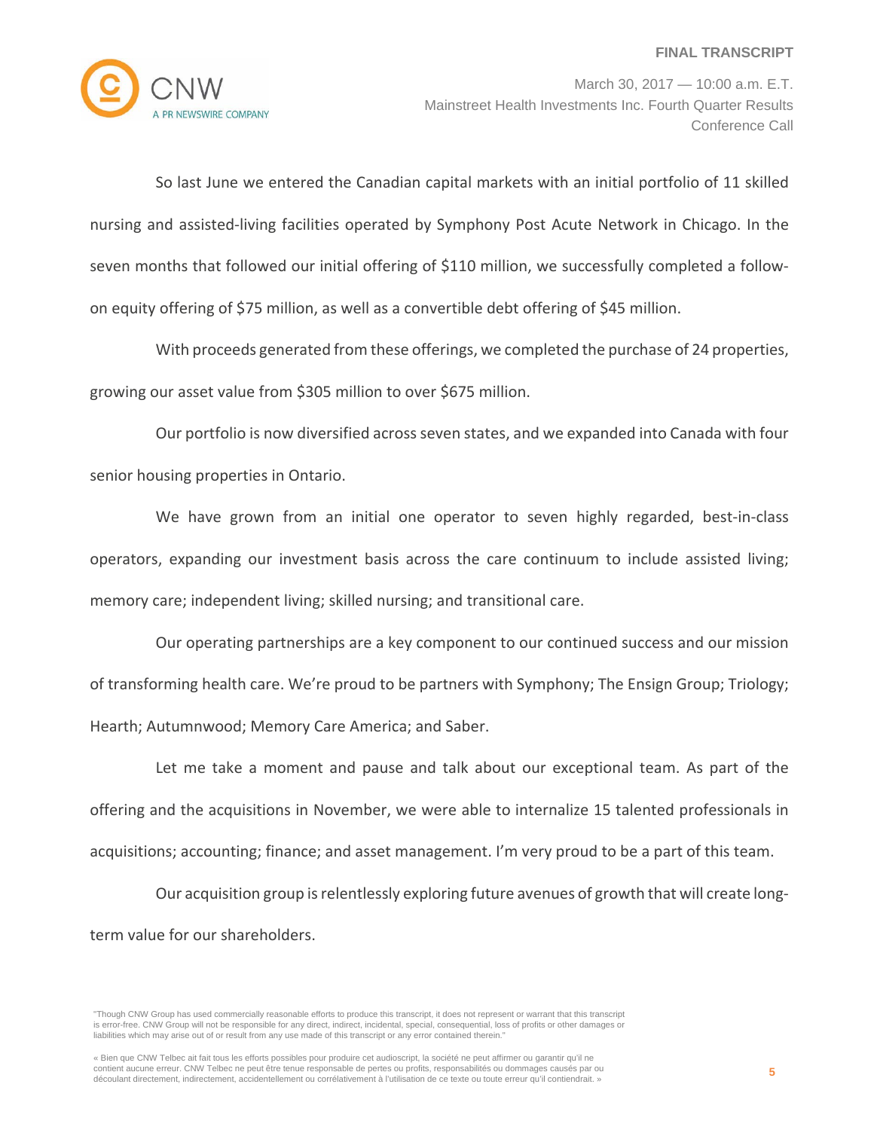

So last June we entered the Canadian capital markets with an initial portfolio of 11 skilled nursing and assisted‐living facilities operated by Symphony Post Acute Network in Chicago. In the seven months that followed our initial offering of \$110 million, we successfully completed a followon equity offering of \$75 million, as well as a convertible debt offering of \$45 million.

With proceeds generated from these offerings, we completed the purchase of 24 properties, growing our asset value from \$305 million to over \$675 million.

Our portfolio is now diversified acrossseven states, and we expanded into Canada with four senior housing properties in Ontario.

We have grown from an initial one operator to seven highly regarded, best-in-class operators, expanding our investment basis across the care continuum to include assisted living; memory care; independent living; skilled nursing; and transitional care.

Our operating partnerships are a key component to our continued success and our mission of transforming health care. We're proud to be partners with Symphony; The Ensign Group; Triology; Hearth; Autumnwood; Memory Care America; and Saber.

Let me take a moment and pause and talk about our exceptional team. As part of the offering and the acquisitions in November, we were able to internalize 15 talented professionals in acquisitions; accounting; finance; and asset management. I'm very proud to be a part of this team.

Our acquisition group is relentlessly exploring future avenues of growth that will create longterm value for our shareholders.

<sup>&</sup>quot;Though CNW Group has used commercially reasonable efforts to produce this transcript, it does not represent or warrant that this transcript is error-free. CNW Group will not be responsible for any direct, indirect, incidental, special, consequential, loss of profits or other damages or liabilities which may arise out of or result from any use made of this transcript or any error contained therein."

<sup>«</sup> Bien que CNW Telbec ait fait tous les efforts possibles pour produire cet audioscript, la société ne peut affirmer ou garantir qu'il ne contient aucune erreur. CNW Telbec ne peut être tenue responsable de pertes ou profits, responsabilités ou dommages causés par ou découlant directement, indirectement, accidentellement ou corrélativement à l'utilisation de ce texte ou toute erreur qu'il contiendrait. »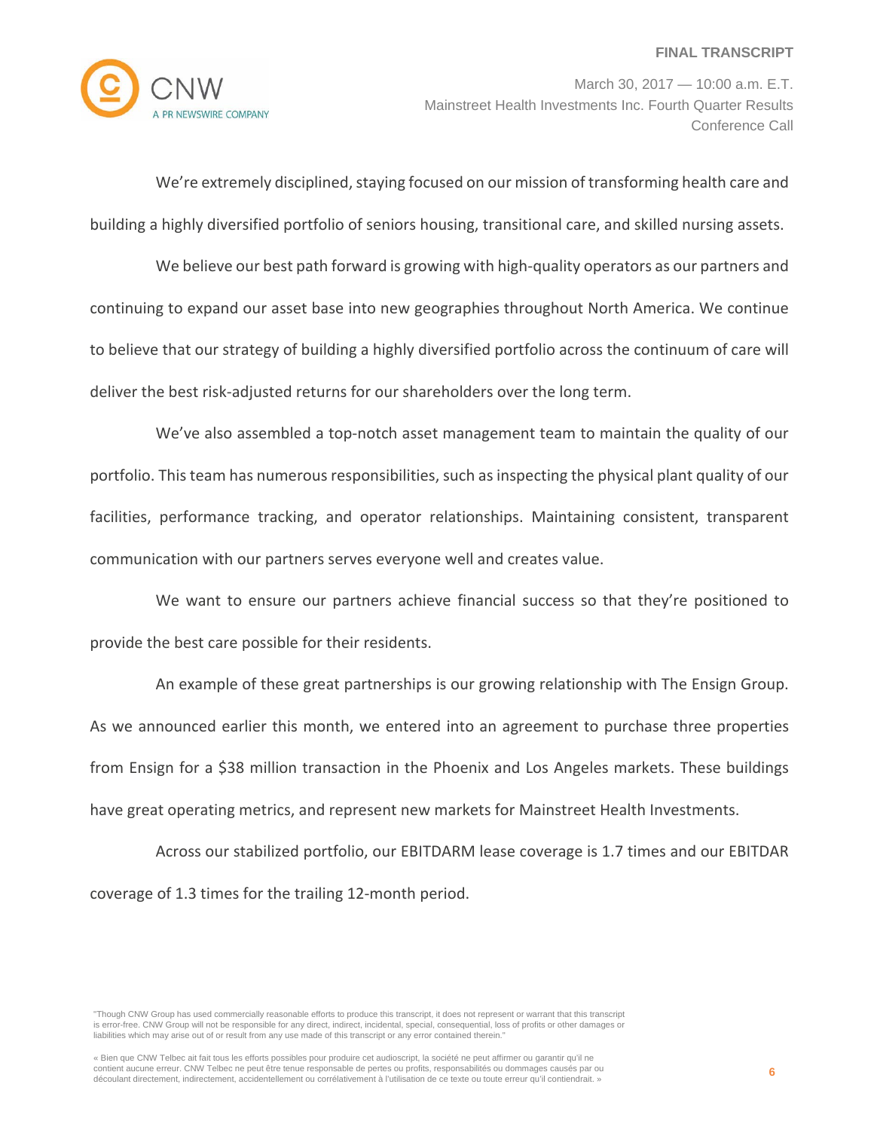

March 30, 2017 — 10:00 a.m. E.T. Mainstreet Health Investments Inc. Fourth Quarter Results Conference Call

We're extremely disciplined, staying focused on our mission of transforming health care and building a highly diversified portfolio of seniors housing, transitional care, and skilled nursing assets.

We believe our best path forward is growing with high-quality operators as our partners and continuing to expand our asset base into new geographies throughout North America. We continue to believe that our strategy of building a highly diversified portfolio across the continuum of care will deliver the best risk‐adjusted returns for our shareholders over the long term.

We've also assembled a top-notch asset management team to maintain the quality of our portfolio. This team has numerous responsibilities, such as inspecting the physical plant quality of our facilities, performance tracking, and operator relationships. Maintaining consistent, transparent communication with our partners serves everyone well and creates value.

We want to ensure our partners achieve financial success so that they're positioned to provide the best care possible for their residents.

An example of these great partnerships is our growing relationship with The Ensign Group. As we announced earlier this month, we entered into an agreement to purchase three properties from Ensign for a \$38 million transaction in the Phoenix and Los Angeles markets. These buildings have great operating metrics, and represent new markets for Mainstreet Health Investments.

Across our stabilized portfolio, our EBITDARM lease coverage is 1.7 times and our EBITDAR coverage of 1.3 times for the trailing 12‐month period.

"Though CNW Group has used commercially reasonable efforts to produce this transcript, it does not represent or warrant that this transcript is error-free. CNW Group will not be responsible for any direct, indirect, incidental, special, consequential, loss of profits or other damages or liabilities which may arise out of or result from any use made of this transcript or any error contained therein."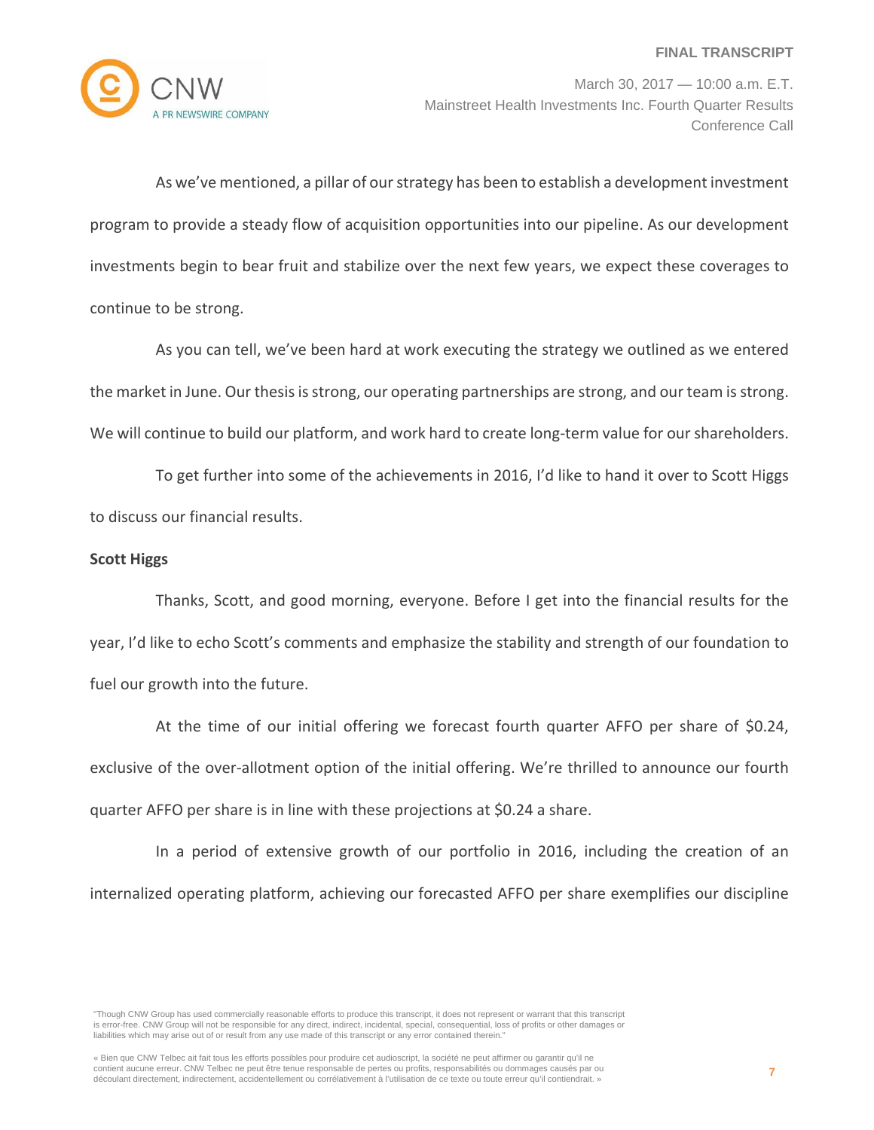

March 30, 2017 — 10:00 a.m. E.T. Mainstreet Health Investments Inc. Fourth Quarter Results Conference Call

As we've mentioned, a pillar of ourstrategy has been to establish a development investment program to provide a steady flow of acquisition opportunities into our pipeline. As our development investments begin to bear fruit and stabilize over the next few years, we expect these coverages to continue to be strong.

As you can tell, we've been hard at work executing the strategy we outlined as we entered the market in June. Our thesis is strong, our operating partnerships are strong, and our team is strong. We will continue to build our platform, and work hard to create long-term value for our shareholders.

To get further into some of the achievements in 2016, I'd like to hand it over to Scott Higgs to discuss our financial results.

### **Scott Higgs**

Thanks, Scott, and good morning, everyone. Before I get into the financial results for the year, I'd like to echo Scott's comments and emphasize the stability and strength of our foundation to fuel our growth into the future.

At the time of our initial offering we forecast fourth quarter AFFO per share of \$0.24, exclusive of the over-allotment option of the initial offering. We're thrilled to announce our fourth quarter AFFO per share is in line with these projections at \$0.24 a share.

In a period of extensive growth of our portfolio in 2016, including the creation of an internalized operating platform, achieving our forecasted AFFO per share exemplifies our discipline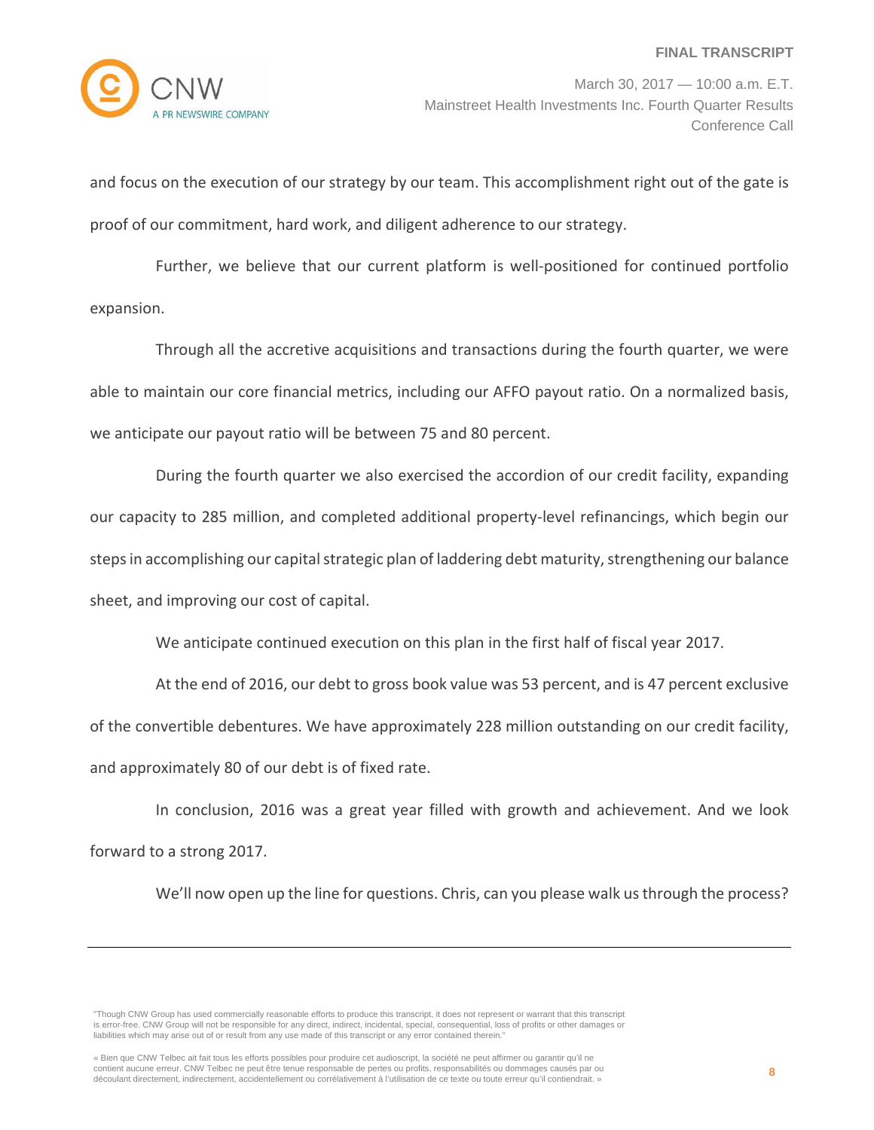

and focus on the execution of our strategy by our team. This accomplishment right out of the gate is proof of our commitment, hard work, and diligent adherence to our strategy.

Further, we believe that our current platform is well-positioned for continued portfolio expansion.

Through all the accretive acquisitions and transactions during the fourth quarter, we were able to maintain our core financial metrics, including our AFFO payout ratio. On a normalized basis, we anticipate our payout ratio will be between 75 and 80 percent.

During the fourth quarter we also exercised the accordion of our credit facility, expanding our capacity to 285 million, and completed additional property‐level refinancings, which begin our steps in accomplishing our capital strategic plan of laddering debt maturity, strengthening our balance sheet, and improving our cost of capital.

We anticipate continued execution on this plan in the first half of fiscal year 2017.

At the end of 2016, our debt to gross book value was 53 percent, and is 47 percent exclusive of the convertible debentures. We have approximately 228 million outstanding on our credit facility, and approximately 80 of our debt is of fixed rate.

In conclusion, 2016 was a great year filled with growth and achievement. And we look forward to a strong 2017.

We'll now open up the line for questions. Chris, can you please walk us through the process?

"Though CNW Group has used commercially reasonable efforts to produce this transcript, it does not represent or warrant that this transcript is error-free. CNW Group will not be responsible for any direct, indirect, incidental, special, consequential, loss of profits or other damages or liabilities which may arise out of or result from any use made of this transcript or any error contained therein."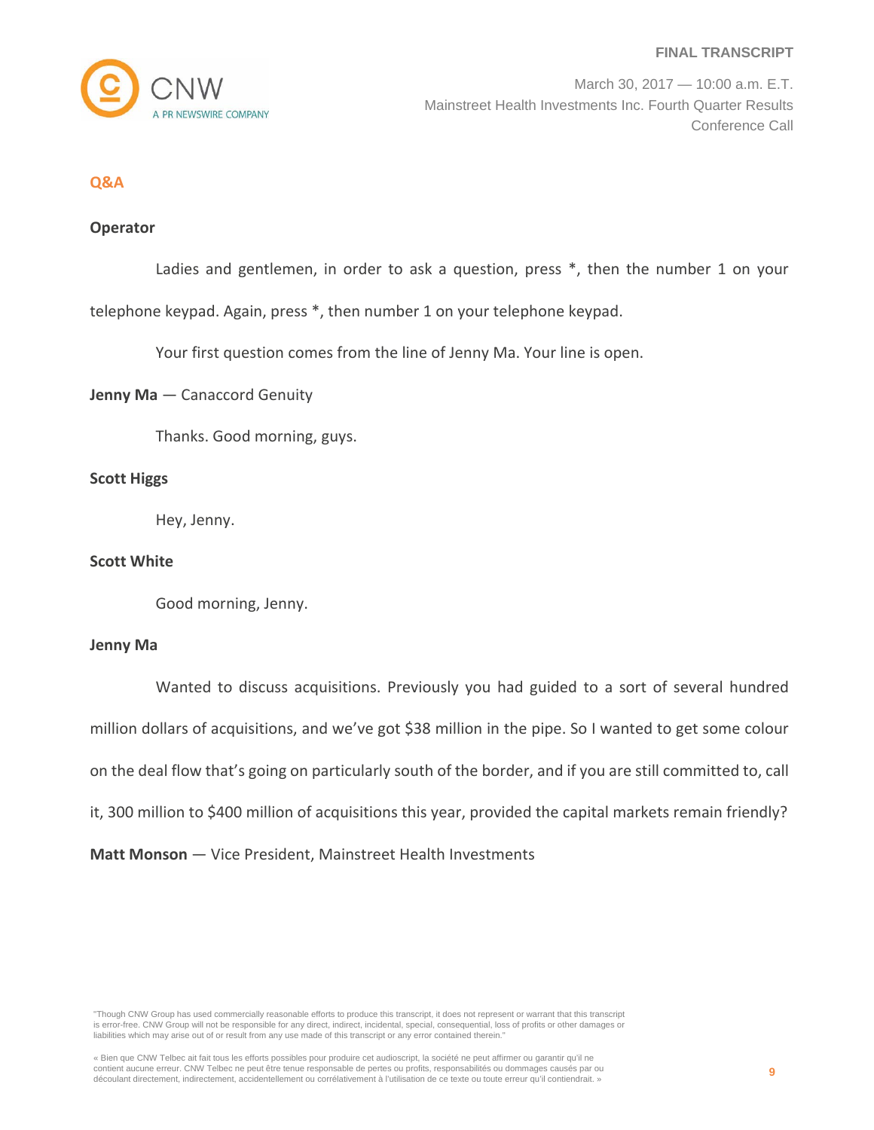

#### **Q&A**

## **Operator**

Ladies and gentlemen, in order to ask a question, press \*, then the number 1 on your

telephone keypad. Again, press \*, then number 1 on your telephone keypad.

Your first question comes from the line of Jenny Ma. Your line is open.

#### **Jenny Ma** — Canaccord Genuity

Thanks. Good morning, guys.

## **Scott Higgs**

Hey, Jenny.

#### **Scott White**

Good morning, Jenny.

#### **Jenny Ma**

Wanted to discuss acquisitions. Previously you had guided to a sort of several hundred million dollars of acquisitions, and we've got \$38 million in the pipe. So I wanted to get some colour on the deal flow that's going on particularly south of the border, and if you are still committed to, call it, 300 million to \$400 million of acquisitions this year, provided the capital markets remain friendly? **Matt Monson** — Vice President, Mainstreet Health Investments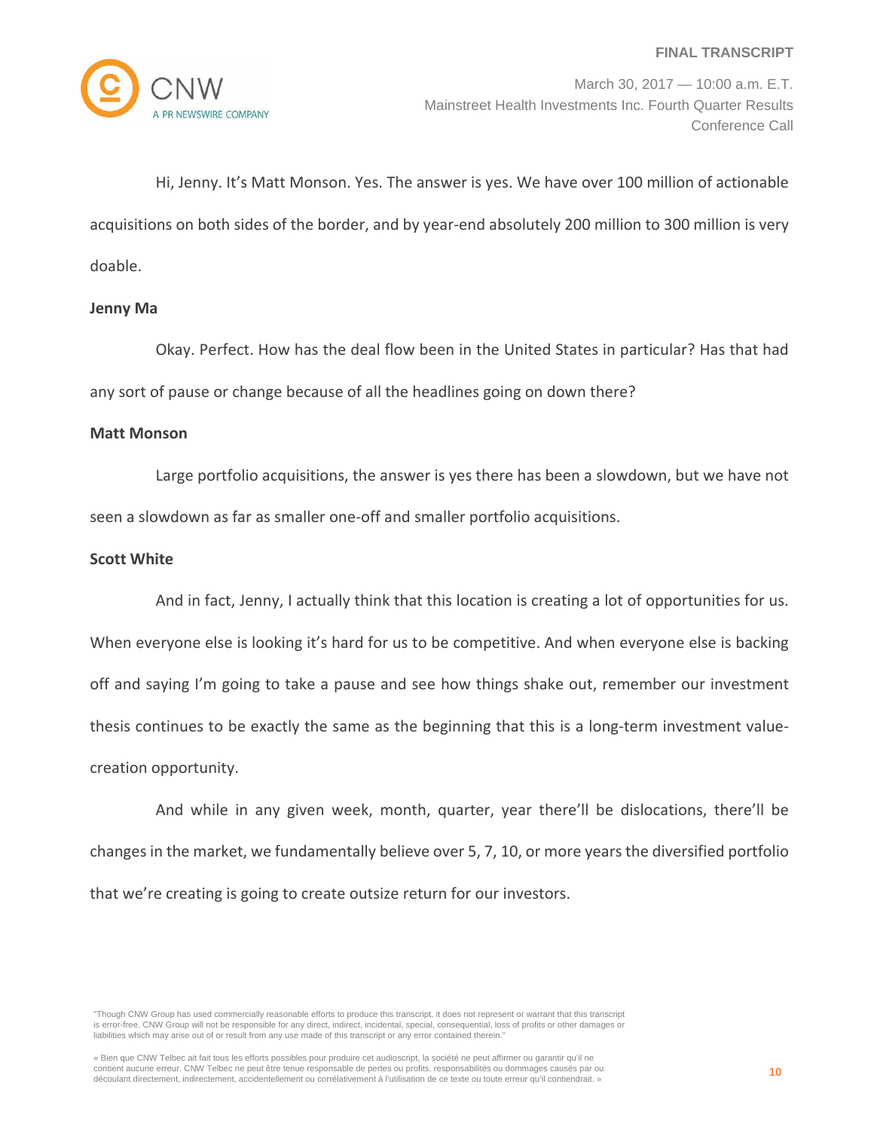

March 30, 2017 — 10:00 a.m. E.T. Mainstreet Health Investments Inc. Fourth Quarter Results Conference Call

Hi, Jenny. It's Matt Monson. Yes. The answer is yes. We have over 100 million of actionable acquisitions on both sides of the border, and by year‐end absolutely 200 million to 300 million is very doable.

#### **Jenny Ma**

Okay. Perfect. How has the deal flow been in the United States in particular? Has that had any sort of pause or change because of all the headlines going on down there?

#### **Matt Monson**

Large portfolio acquisitions, the answer is yes there has been a slowdown, but we have not seen a slowdown as far as smaller one‐off and smaller portfolio acquisitions.

#### **Scott White**

And in fact, Jenny, I actually think that this location is creating a lot of opportunities for us. When everyone else is looking it's hard for us to be competitive. And when everyone else is backing off and saying I'm going to take a pause and see how things shake out, remember our investment thesis continues to be exactly the same as the beginning that this is a long‐term investment value‐ creation opportunity.

And while in any given week, month, quarter, year there'll be dislocations, there'll be changes in the market, we fundamentally believe over 5, 7, 10, or more years the diversified portfolio that we're creating is going to create outsize return for our investors.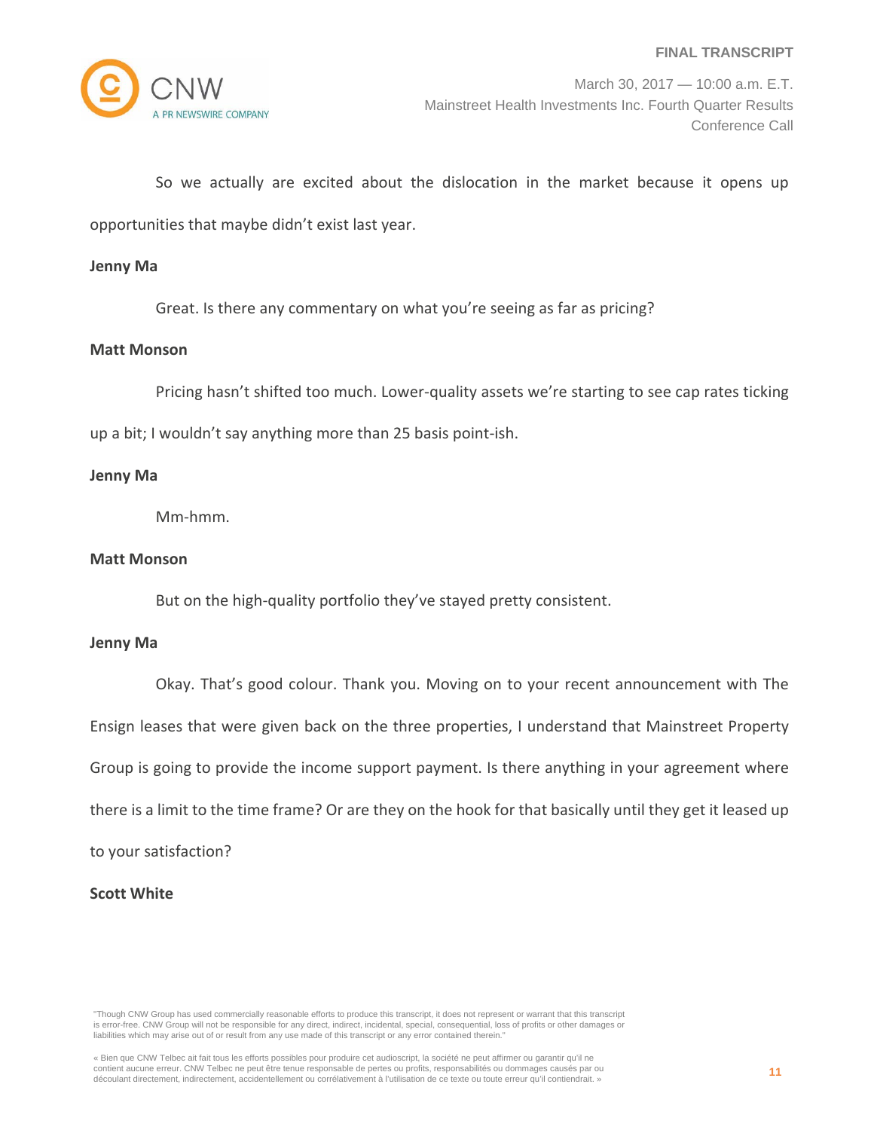

March 30, 2017 — 10:00 a.m. E.T. Mainstreet Health Investments Inc. Fourth Quarter Results Conference Call

So we actually are excited about the dislocation in the market because it opens up opportunities that maybe didn't exist last year.

#### **Jenny Ma**

Great. Is there any commentary on what you're seeing as far as pricing?

#### **Matt Monson**

Pricing hasn't shifted too much. Lower-quality assets we're starting to see cap rates ticking up a bit; I wouldn't say anything more than 25 basis point‐ish.

### **Jenny Ma**

Mm‐hmm.

#### **Matt Monson**

But on the high-quality portfolio they've stayed pretty consistent.

#### **Jenny Ma**

Okay. That's good colour. Thank you. Moving on to your recent announcement with The Ensign leases that were given back on the three properties, I understand that Mainstreet Property Group is going to provide the income support payment. Is there anything in your agreement where there is a limit to the time frame? Or are they on the hook for that basically until they get it leased up

to your satisfaction?

# **Scott White**

<sup>«</sup> Bien que CNW Telbec ait fait tous les efforts possibles pour produire cet audioscript, la société ne peut affirmer ou garantir qu'il ne contient aucune erreur. CNW Telbec ne peut être tenue responsable de pertes ou profits, responsabilités ou dommages causés par ou découlant directement, indirectement, accidentellement ou corrélativement à l'utilisation de ce texte ou toute erreur qu'il contiendrait. »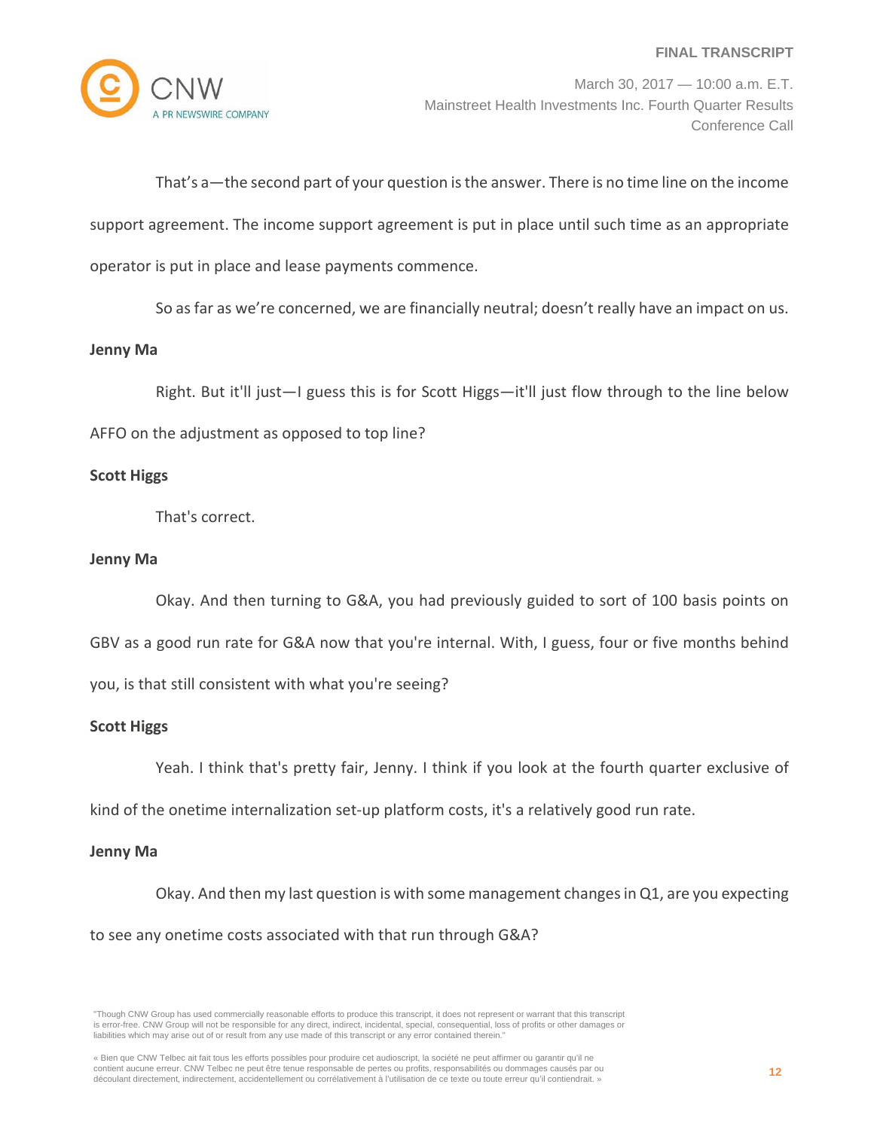

March 30, 2017 — 10:00 a.m. E.T. Mainstreet Health Investments Inc. Fourth Quarter Results Conference Call

That's a—the second part of your question isthe answer. There is no time line on the income support agreement. The income support agreement is put in place until such time as an appropriate operator is put in place and lease payments commence.

So asfar as we're concerned, we are financially neutral; doesn't really have an impact on us.

#### **Jenny Ma**

Right. But it'll just—I guess this is for Scott Higgs—it'll just flow through to the line below AFFO on the adjustment as opposed to top line?

### **Scott Higgs**

That's correct.

### **Jenny Ma**

Okay. And then turning to G&A, you had previously guided to sort of 100 basis points on GBV as a good run rate for G&A now that you're internal. With, I guess, four or five months behind you, is that still consistent with what you're seeing?

### **Scott Higgs**

Yeah. I think that's pretty fair, Jenny. I think if you look at the fourth quarter exclusive of

kind of the onetime internalization set-up platform costs, it's a relatively good run rate.

### **Jenny Ma**

Okay. And then my last question is with some management changes in Q1, are you expecting to see any onetime costs associated with that run through G&A?

"Though CNW Group has used commercially reasonable efforts to produce this transcript, it does not represent or warrant that this transcript is error-free. CNW Group will not be responsible for any direct, indirect, incidental, special, consequential, loss of profits or other damages or liabilities which may arise out of or result from any use made of this transcript or any error contained therein."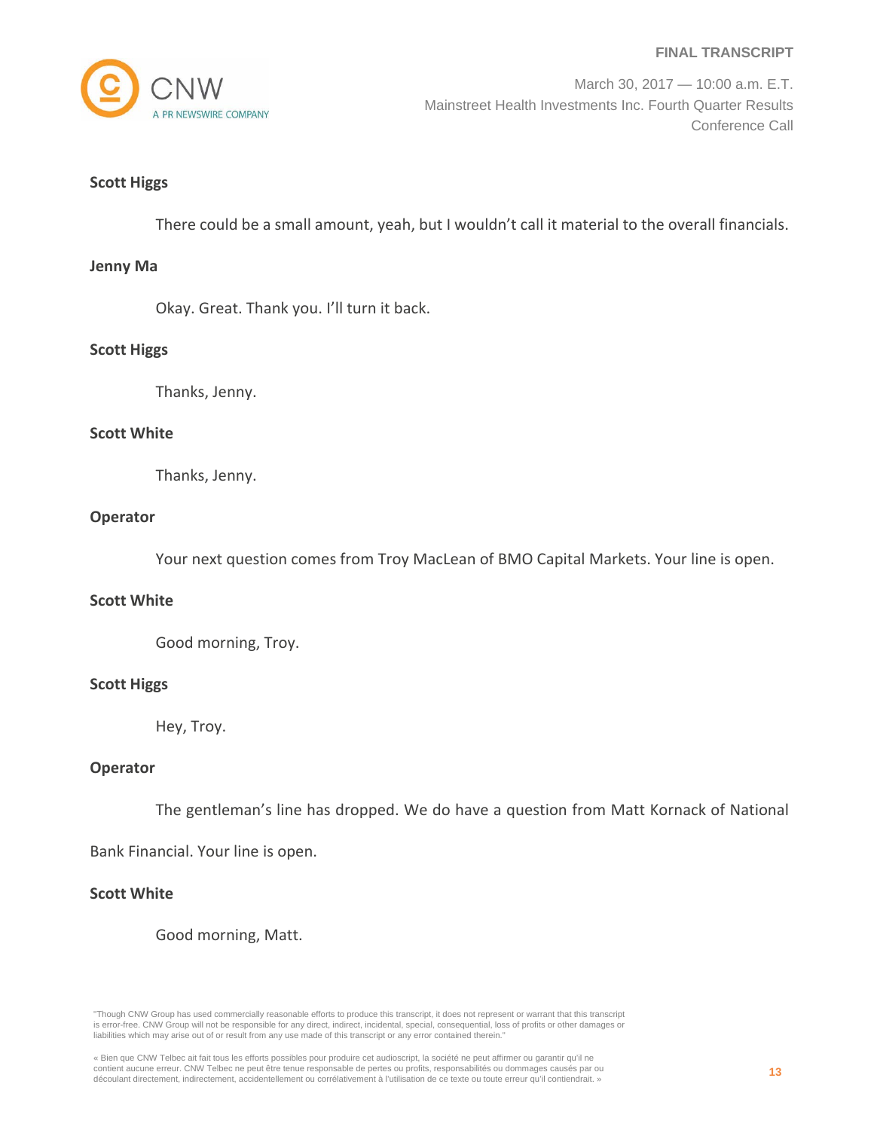

March 30, 2017 — 10:00 a.m. E.T. Mainstreet Health Investments Inc. Fourth Quarter Results Conference Call

### **Scott Higgs**

There could be a small amount, yeah, but I wouldn't call it material to the overall financials.

#### **Jenny Ma**

Okay. Great. Thank you. I'll turn it back.

#### **Scott Higgs**

Thanks, Jenny.

## **Scott White**

Thanks, Jenny.

# **Operator**

Your next question comes from Troy MacLean of BMO Capital Markets. Your line is open.

#### **Scott White**

Good morning, Troy.

### **Scott Higgs**

Hey, Troy.

### **Operator**

The gentleman's line has dropped. We do have a question from Matt Kornack of National

Bank Financial. Your line is open.

# **Scott White**

Good morning, Matt.

"Though CNW Group has used commercially reasonable efforts to produce this transcript, it does not represent or warrant that this transcript is error-free. CNW Group will not be responsible for any direct, indirect, incidental, special, consequential, loss of profits or other damages or liabilities which may arise out of or result from any use made of this transcript or any error contained therein."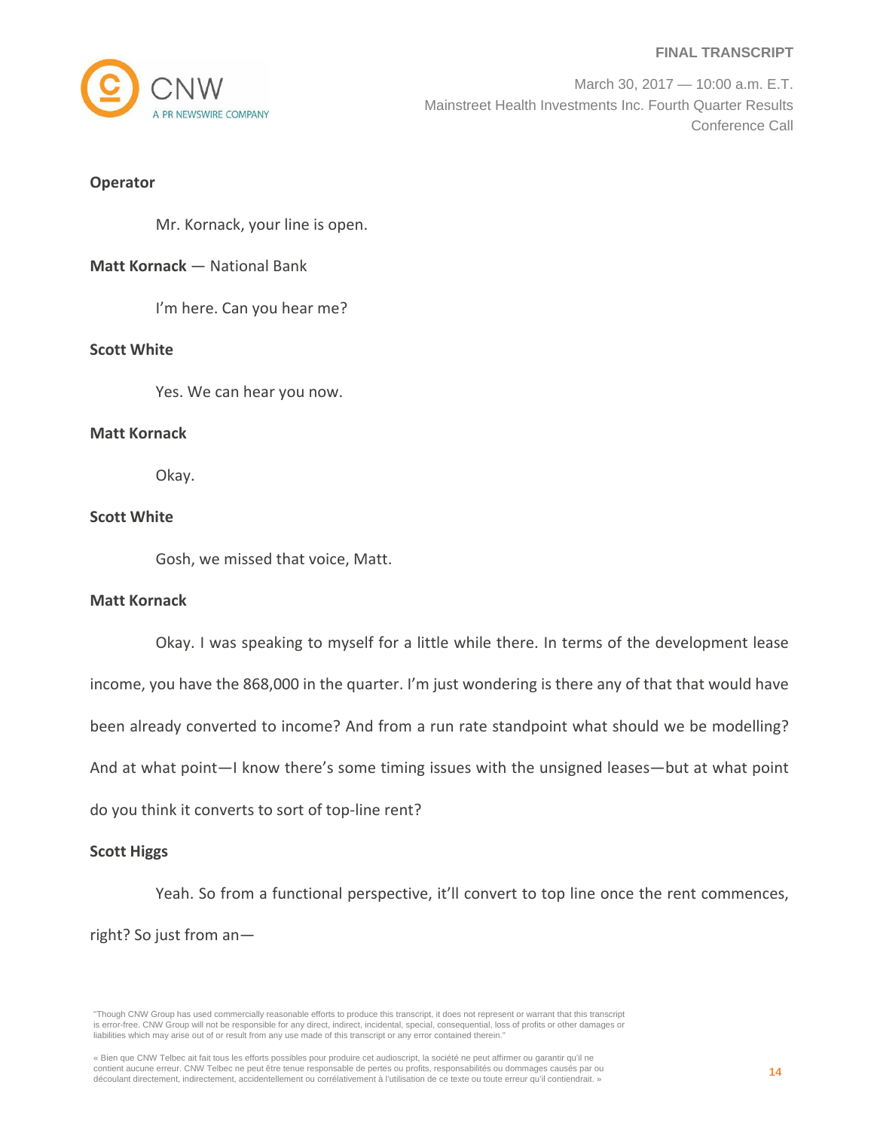

March 30, 2017 — 10:00 a.m. E.T. Mainstreet Health Investments Inc. Fourth Quarter Results Conference Call

## **Operator**

Mr. Kornack, your line is open.

# **Matt Kornack** — National Bank

I'm here. Can you hear me?

# **Scott White**

Yes. We can hear you now.

# **Matt Kornack**

Okay.

# **Scott White**

Gosh, we missed that voice, Matt.

### **Matt Kornack**

Okay. I was speaking to myself for a little while there. In terms of the development lease income, you have the 868,000 in the quarter. I'm just wondering is there any of that that would have been already converted to income? And from a run rate standpoint what should we be modelling? And at what point—I know there's some timing issues with the unsigned leases—but at what point do you think it converts to sort of top‐line rent?

### **Scott Higgs**

Yeah. So from a functional perspective, it'll convert to top line once the rent commences, right? So just from an—

<sup>«</sup> Bien que CNW Telbec ait fait tous les efforts possibles pour produire cet audioscript, la société ne peut affirmer ou garantir qu'il ne contient aucune erreur. CNW Telbec ne peut être tenue responsable de pertes ou profits, responsabilités ou dommages causés par ou découlant directement, indirectement, accidentellement ou corrélativement à l'utilisation de ce texte ou toute erreur qu'il contiendrait. »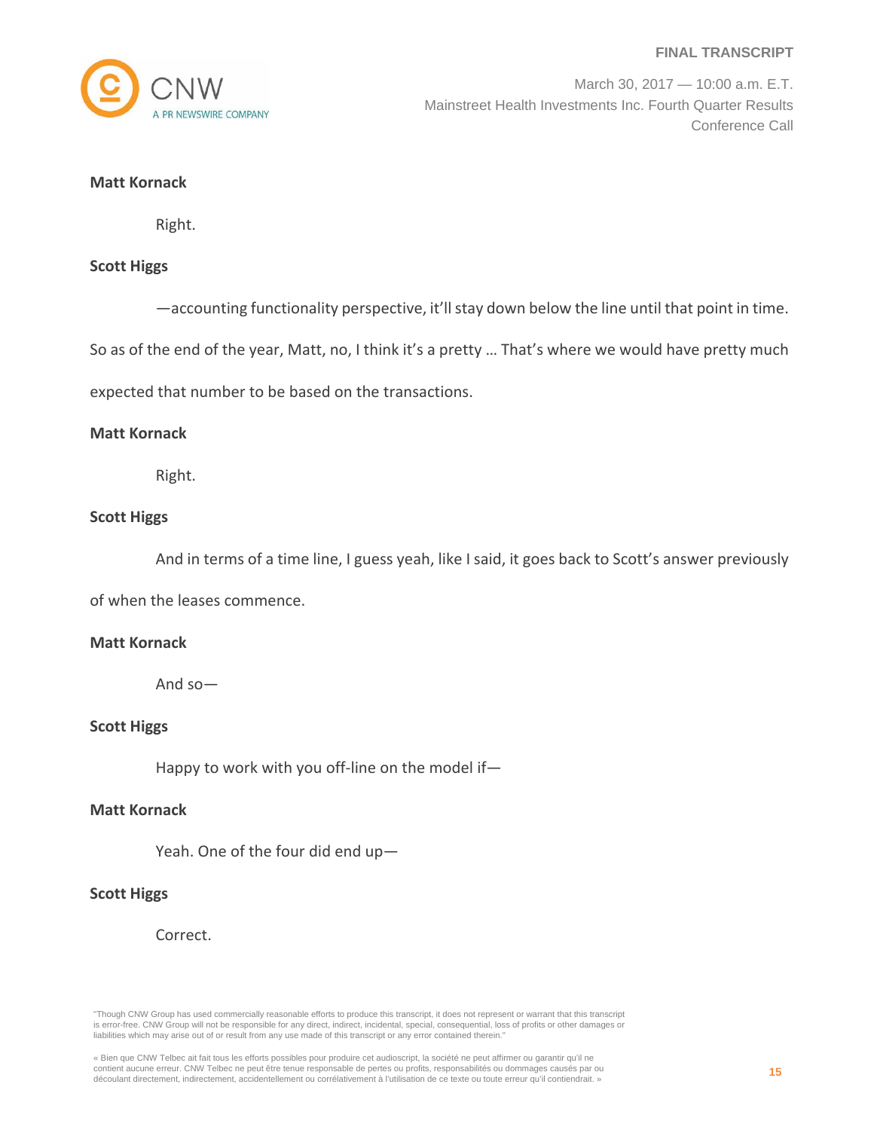

March 30, 2017 — 10:00 a.m. E.T. Mainstreet Health Investments Inc. Fourth Quarter Results Conference Call

# **Matt Kornack**

Right.

# **Scott Higgs**

—accounting functionality perspective, it'llstay down below the line until that point in time.

So as of the end of the year, Matt, no, I think it's a pretty … That's where we would have pretty much

expected that number to be based on the transactions.

#### **Matt Kornack**

Right.

# **Scott Higgs**

And in terms of a time line, I guess yeah, like I said, it goes back to Scott's answer previously

of when the leases commence.

### **Matt Kornack**

And so—

### **Scott Higgs**

Happy to work with you off-line on the model if-

# **Matt Kornack**

Yeah. One of the four did end up—

# **Scott Higgs**

Correct.

"Though CNW Group has used commercially reasonable efforts to produce this transcript, it does not represent or warrant that this transcript is error-free. CNW Group will not be responsible for any direct, indirect, incidental, special, consequential, loss of profits or other damages or liabilities which may arise out of or result from any use made of this transcript or any error contained therein."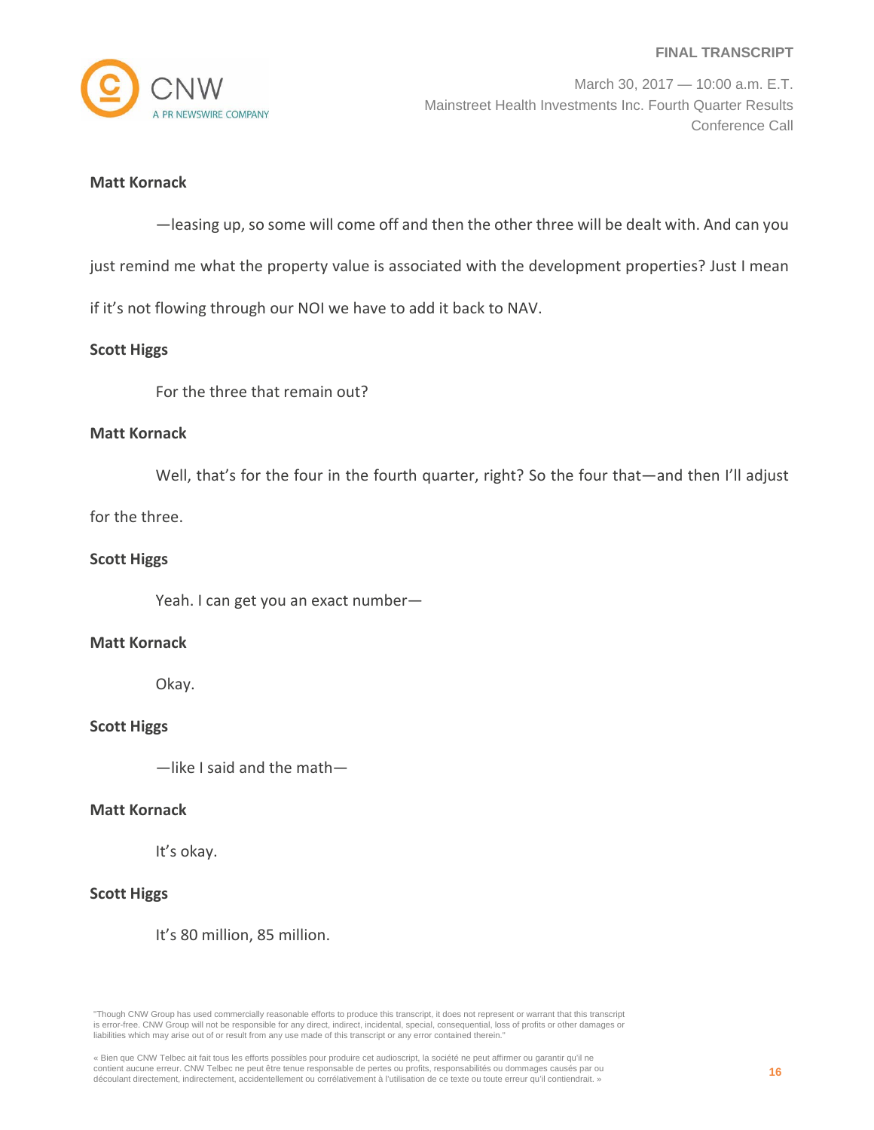

March 30, 2017 — 10:00 a.m. E.T. Mainstreet Health Investments Inc. Fourth Quarter Results Conference Call

# **Matt Kornack**

—leasing up, so some will come off and then the other three will be dealt with. And can you

just remind me what the property value is associated with the development properties? Just I mean

if it's not flowing through our NOI we have to add it back to NAV.

### **Scott Higgs**

For the three that remain out?

#### **Matt Kornack**

Well, that's for the four in the fourth quarter, right? So the four that—and then I'll adjust

for the three.

### **Scott Higgs**

Yeah. I can get you an exact number—

### **Matt Kornack**

Okay.

### **Scott Higgs**

—like I said and the math—

#### **Matt Kornack**

It's okay.

# **Scott Higgs**

It's 80 million, 85 million.

<sup>«</sup> Bien que CNW Telbec ait fait tous les efforts possibles pour produire cet audioscript, la société ne peut affirmer ou garantir qu'il ne contient aucune erreur. CNW Telbec ne peut être tenue responsable de pertes ou profits, responsabilités ou dommages causés par ou découlant directement, indirectement, accidentellement ou corrélativement à l'utilisation de ce texte ou toute erreur qu'il contiendrait. »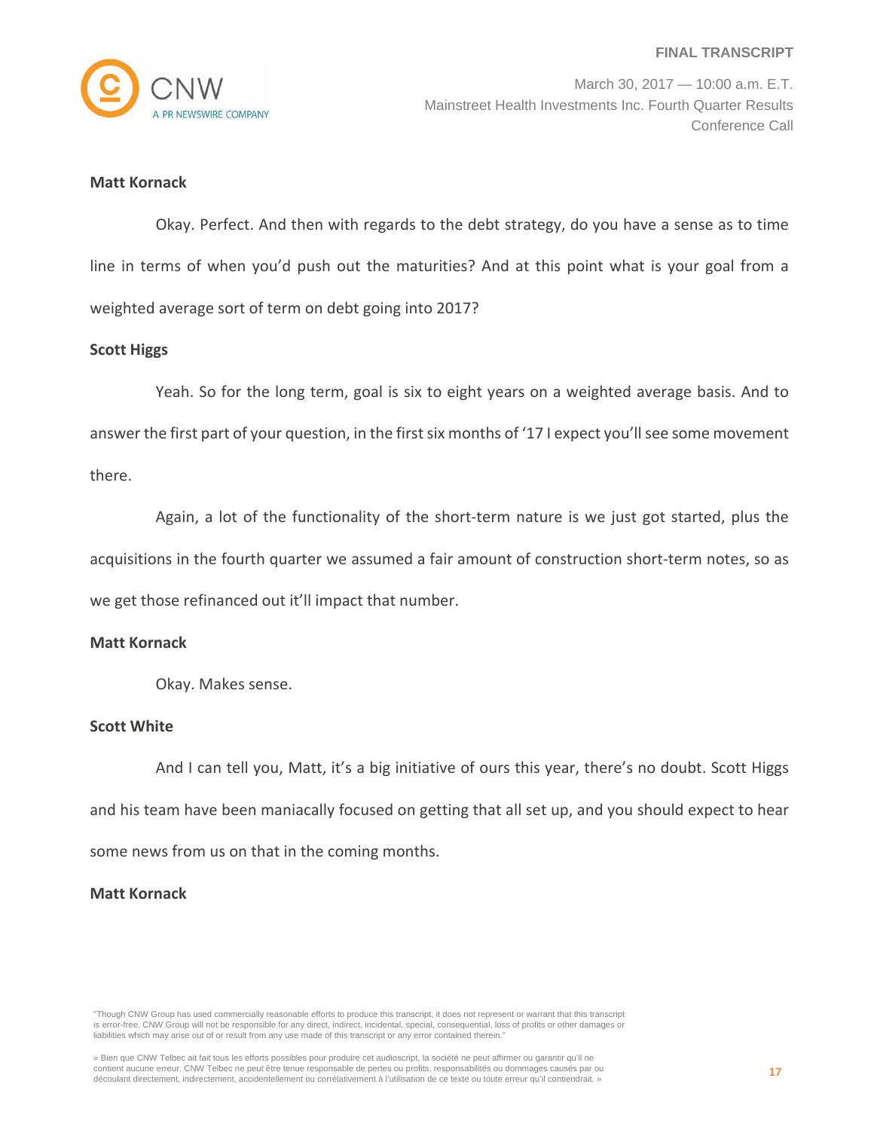

# **Matt Kornack**

Okay. Perfect. And then with regards to the debt strategy, do you have a sense as to time line in terms of when you'd push out the maturities? And at this point what is your goal from a weighted average sort of term on debt going into 2017?

### **Scott Higgs**

Yeah. So for the long term, goal is six to eight years on a weighted average basis. And to answer the first part of your question, in the first six months of '17 I expect you'll see some movement there.

Again, a lot of the functionality of the short-term nature is we just got started, plus the acquisitions in the fourth quarter we assumed a fair amount of construction short‐term notes, so as we get those refinanced out it'll impact that number.

### **Matt Kornack**

Okay. Makes sense.

## **Scott White**

And I can tell you, Matt, it's a big initiative of ours this year, there's no doubt. Scott Higgs and his team have been maniacally focused on getting that all set up, and you should expect to hear some news from us on that in the coming months.

# **Matt Kornack**

"Though CNW Group has used commercially reasonable efforts to produce this transcript, it does not represent or warrant that this transcript is error-free. CNW Group will not be responsible for any direct, indirect, incidental, special, consequential, loss of profits or other damages or liabilities which may arise out of or result from any use made of this transcript or any error contained therein."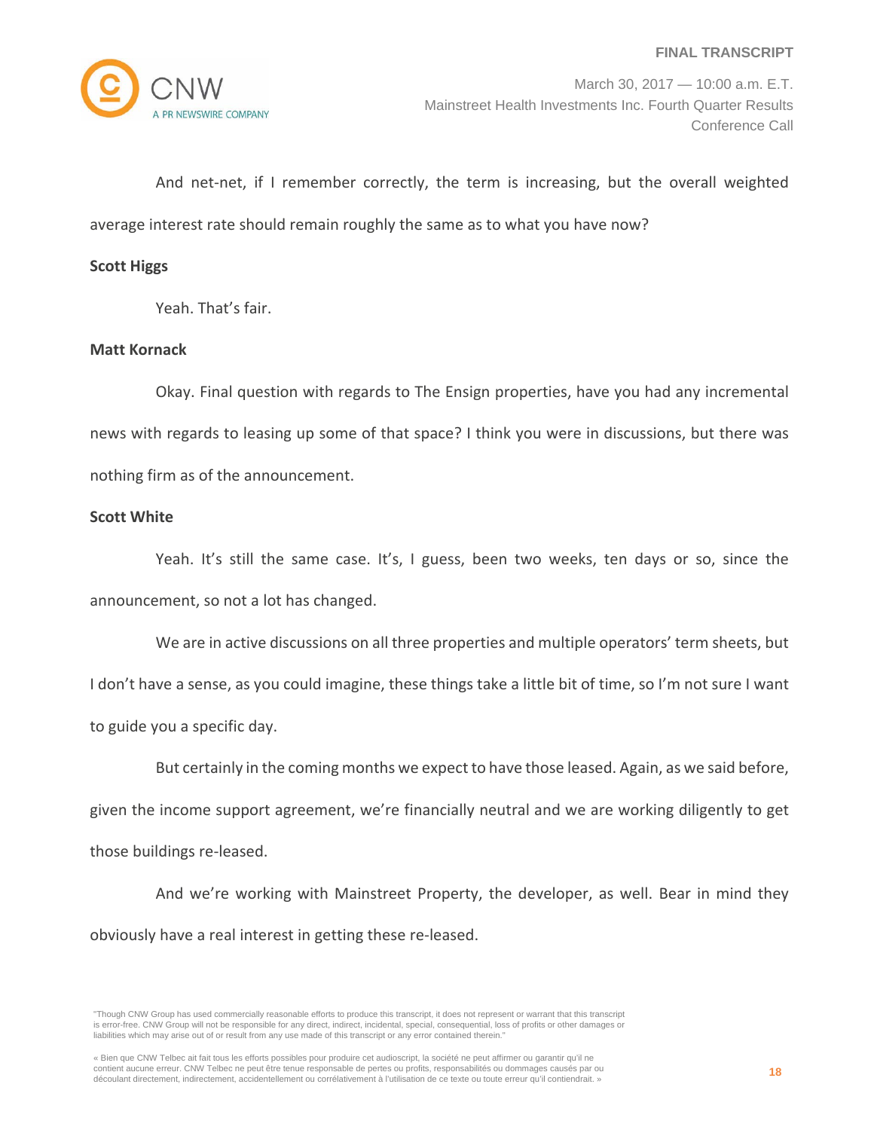

And net-net, if I remember correctly, the term is increasing, but the overall weighted average interest rate should remain roughly the same as to what you have now?

### **Scott Higgs**

Yeah. That's fair.

# **Matt Kornack**

Okay. Final question with regards to The Ensign properties, have you had any incremental news with regards to leasing up some of that space? I think you were in discussions, but there was nothing firm as of the announcement.

# **Scott White**

Yeah. It's still the same case. It's, I guess, been two weeks, ten days or so, since the announcement, so not a lot has changed.

We are in active discussions on all three properties and multiple operators' term sheets, but I don't have a sense, as you could imagine, these things take a little bit of time, so I'm not sure I want to guide you a specific day.

But certainly in the coming months we expect to have those leased. Again, as we said before, given the income support agreement, we're financially neutral and we are working diligently to get those buildings re‐leased.

And we're working with Mainstreet Property, the developer, as well. Bear in mind they obviously have a real interest in getting these re‐leased.

<sup>&</sup>quot;Though CNW Group has used commercially reasonable efforts to produce this transcript, it does not represent or warrant that this transcript is error-free. CNW Group will not be responsible for any direct, indirect, incidental, special, consequential, loss of profits or other damages or liabilities which may arise out of or result from any use made of this transcript or any error contained therein."

<sup>«</sup> Bien que CNW Telbec ait fait tous les efforts possibles pour produire cet audioscript, la société ne peut affirmer ou garantir qu'il ne contient aucune erreur. CNW Telbec ne peut être tenue responsable de pertes ou profits, responsabilités ou dommages causés par ou découlant directement, indirectement, accidentellement ou corrélativement à l'utilisation de ce texte ou toute erreur qu'il contiendrait. »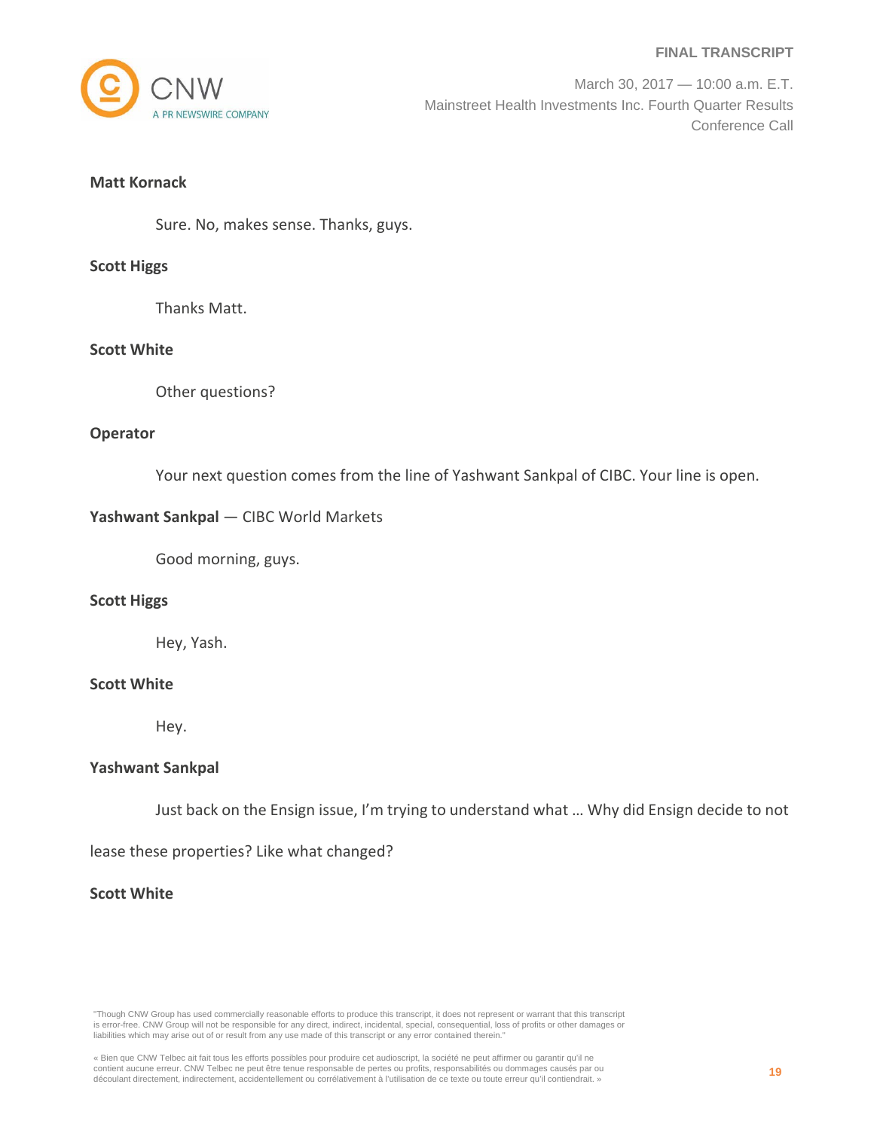

March 30, 2017 — 10:00 a.m. E.T. Mainstreet Health Investments Inc. Fourth Quarter Results Conference Call

# **Matt Kornack**

Sure. No, makes sense. Thanks, guys.

#### **Scott Higgs**

Thanks Matt.

# **Scott White**

Other questions?

#### **Operator**

Your next question comes from the line of Yashwant Sankpal of CIBC. Your line is open.

### **Yashwant Sankpal** — CIBC World Markets

Good morning, guys.

### **Scott Higgs**

Hey, Yash.

# **Scott White**

Hey.

### **Yashwant Sankpal**

Just back on the Ensign issue, I'm trying to understand what … Why did Ensign decide to not

lease these properties? Like what changed?

### **Scott White**

"Though CNW Group has used commercially reasonable efforts to produce this transcript, it does not represent or warrant that this transcript is error-free. CNW Group will not be responsible for any direct, indirect, incidental, special, consequential, loss of profits or other damages or liabilities which may arise out of or result from any use made of this transcript or any error contained therein."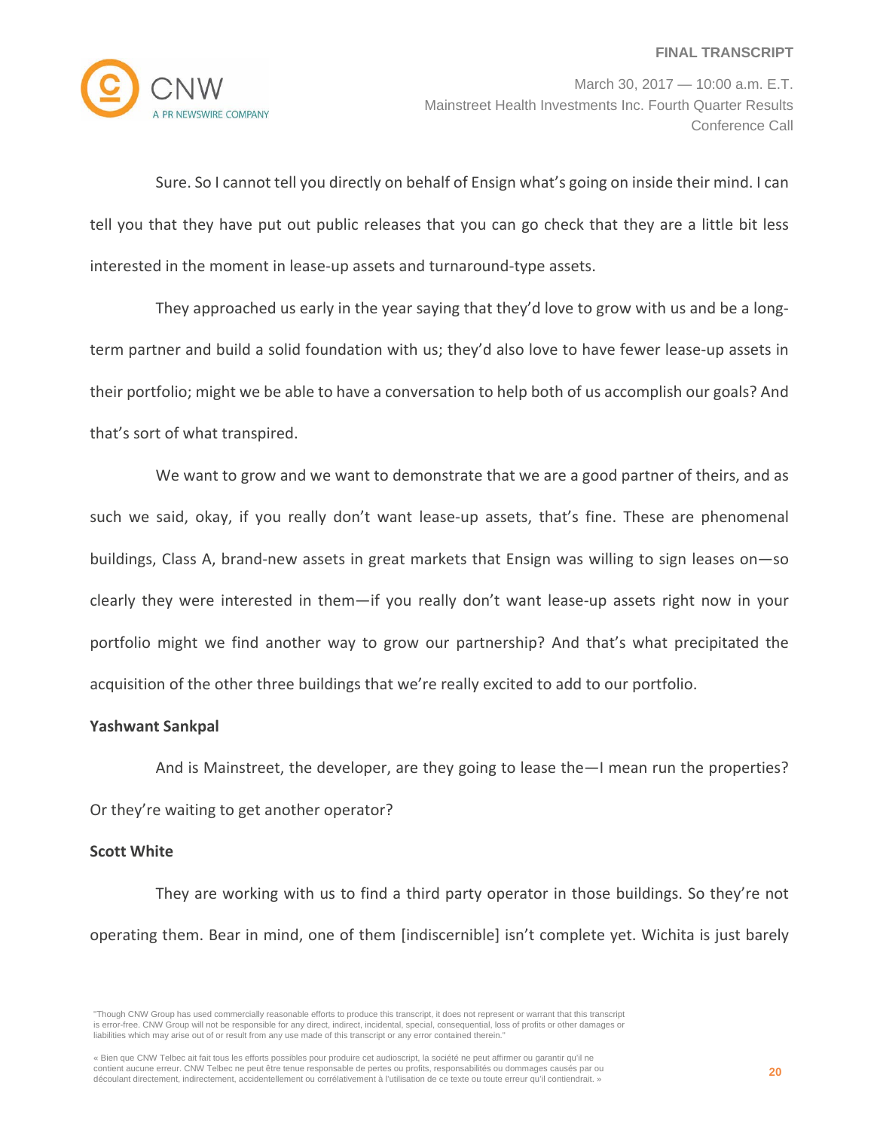

March 30, 2017 — 10:00 a.m. E.T. Mainstreet Health Investments Inc. Fourth Quarter Results Conference Call

Sure. So I cannot tell you directly on behalf of Ensign what's going on inside their mind. I can tell you that they have put out public releases that you can go check that they are a little bit less interested in the moment in lease‐up assets and turnaround‐type assets.

They approached us early in the year saying that they'd love to grow with us and be a long‐ term partner and build a solid foundation with us; they'd also love to have fewer lease-up assets in their portfolio; might we be able to have a conversation to help both of us accomplish our goals? And that's sort of what transpired.

We want to grow and we want to demonstrate that we are a good partner of theirs, and as such we said, okay, if you really don't want lease-up assets, that's fine. These are phenomenal buildings, Class A, brand‐new assets in great markets that Ensign was willing to sign leases on—so clearly they were interested in them—if you really don't want lease-up assets right now in your portfolio might we find another way to grow our partnership? And that's what precipitated the acquisition of the other three buildings that we're really excited to add to our portfolio.

#### **Yashwant Sankpal**

And is Mainstreet, the developer, are they going to lease the—I mean run the properties? Or they're waiting to get another operator?

#### **Scott White**

They are working with us to find a third party operator in those buildings. So they're not operating them. Bear in mind, one of them [indiscernible] isn't complete yet. Wichita is just barely

<sup>&</sup>quot;Though CNW Group has used commercially reasonable efforts to produce this transcript, it does not represent or warrant that this transcript is error-free. CNW Group will not be responsible for any direct, indirect, incidental, special, consequential, loss of profits or other damages or liabilities which may arise out of or result from any use made of this transcript or any error contained therein."

<sup>«</sup> Bien que CNW Telbec ait fait tous les efforts possibles pour produire cet audioscript, la société ne peut affirmer ou garantir qu'il ne contient aucune erreur. CNW Telbec ne peut être tenue responsable de pertes ou profits, responsabilités ou dommages causés par ou découlant directement, indirectement, accidentellement ou corrélativement à l'utilisation de ce texte ou toute erreur qu'il contiendrait. »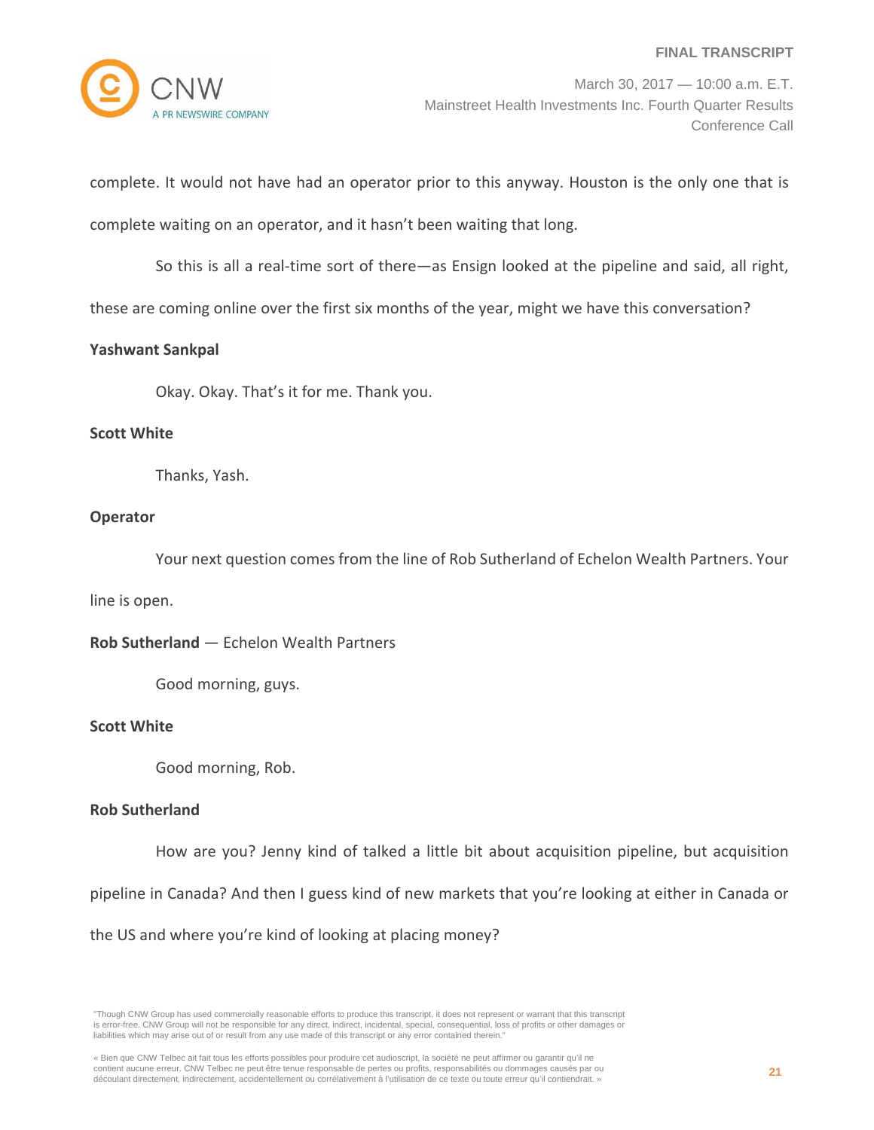

March 30, 2017 — 10:00 a.m. E.T. Mainstreet Health Investments Inc. Fourth Quarter Results Conference Call

complete. It would not have had an operator prior to this anyway. Houston is the only one that is

complete waiting on an operator, and it hasn't been waiting that long.

So this is all a real-time sort of there—as Ensign looked at the pipeline and said, all right,

these are coming online over the first six months of the year, might we have this conversation?

# **Yashwant Sankpal**

Okay. Okay. That's it for me. Thank you.

## **Scott White**

Thanks, Yash.

# **Operator**

Your next question comes from the line of Rob Sutherland of Echelon Wealth Partners. Your

line is open.

**Rob Sutherland** — Echelon Wealth Partners

Good morning, guys.

### **Scott White**

Good morning, Rob.

# **Rob Sutherland**

How are you? Jenny kind of talked a little bit about acquisition pipeline, but acquisition

pipeline in Canada? And then I guess kind of new markets that you're looking at either in Canada or

the US and where you're kind of looking at placing money?

"Though CNW Group has used commercially reasonable efforts to produce this transcript, it does not represent or warrant that this transcript is error-free. CNW Group will not be responsible for any direct, indirect, incidental, special, consequential, loss of profits or other damages or liabilities which may arise out of or result from any use made of this transcript or any error contained therein."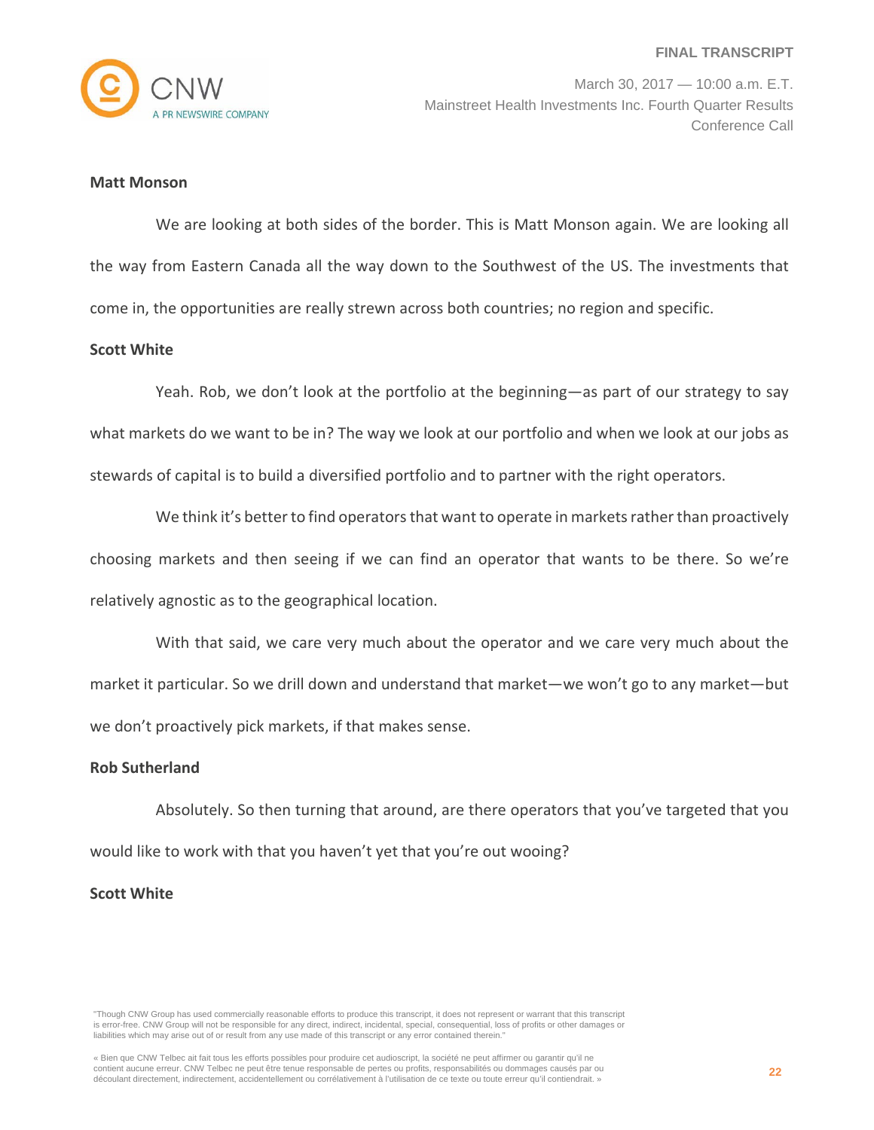

#### **Matt Monson**

We are looking at both sides of the border. This is Matt Monson again. We are looking all the way from Eastern Canada all the way down to the Southwest of the US. The investments that come in, the opportunities are really strewn across both countries; no region and specific.

#### **Scott White**

Yeah. Rob, we don't look at the portfolio at the beginning—as part of our strategy to say what markets do we want to be in? The way we look at our portfolio and when we look at our jobs as stewards of capital is to build a diversified portfolio and to partner with the right operators.

We think it's better to find operators that want to operate in markets rather than proactively choosing markets and then seeing if we can find an operator that wants to be there. So we're relatively agnostic as to the geographical location.

With that said, we care very much about the operator and we care very much about the market it particular. So we drill down and understand that market—we won't go to any market—but we don't proactively pick markets, if that makes sense.

#### **Rob Sutherland**

Absolutely. So then turning that around, are there operators that you've targeted that you would like to work with that you haven't yet that you're out wooing?

### **Scott White**

<sup>&</sup>quot;Though CNW Group has used commercially reasonable efforts to produce this transcript, it does not represent or warrant that this transcript is error-free. CNW Group will not be responsible for any direct, indirect, incidental, special, consequential, loss of profits or other damages or liabilities which may arise out of or result from any use made of this transcript or any error contained therein."

<sup>«</sup> Bien que CNW Telbec ait fait tous les efforts possibles pour produire cet audioscript, la société ne peut affirmer ou garantir qu'il ne contient aucune erreur. CNW Telbec ne peut être tenue responsable de pertes ou profits, responsabilités ou dommages causés par ou découlant directement, indirectement, accidentellement ou corrélativement à l'utilisation de ce texte ou toute erreur qu'il contiendrait. »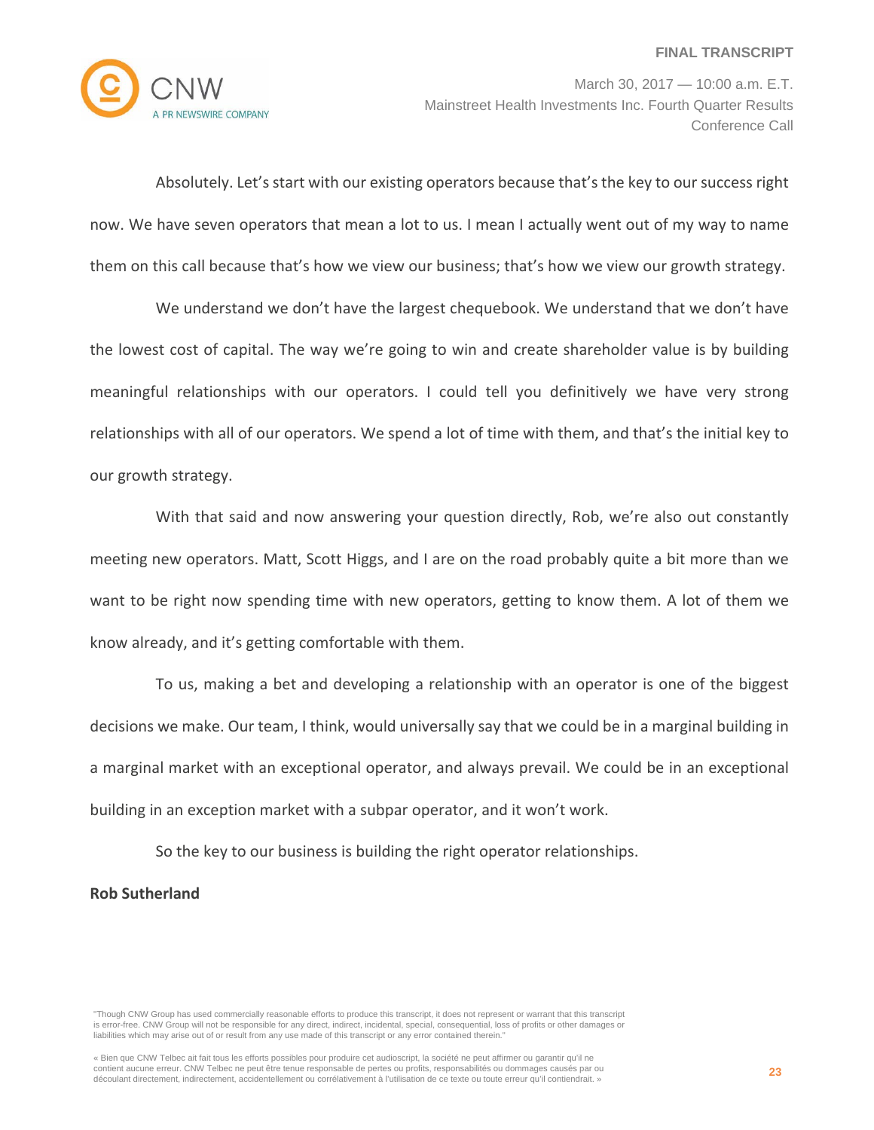

March 30, 2017 — 10:00 a.m. E.T. Mainstreet Health Investments Inc. Fourth Quarter Results Conference Call

Absolutely. Let's start with our existing operators because that's the key to our success right now. We have seven operators that mean a lot to us. I mean I actually went out of my way to name them on this call because that's how we view our business; that's how we view our growth strategy.

We understand we don't have the largest chequebook. We understand that we don't have the lowest cost of capital. The way we're going to win and create shareholder value is by building meaningful relationships with our operators. I could tell you definitively we have very strong relationships with all of our operators. We spend a lot of time with them, and that's the initial key to our growth strategy.

With that said and now answering your question directly, Rob, we're also out constantly meeting new operators. Matt, Scott Higgs, and I are on the road probably quite a bit more than we want to be right now spending time with new operators, getting to know them. A lot of them we know already, and it's getting comfortable with them.

To us, making a bet and developing a relationship with an operator is one of the biggest decisions we make. Our team, I think, would universally say that we could be in a marginal building in a marginal market with an exceptional operator, and always prevail. We could be in an exceptional building in an exception market with a subpar operator, and it won't work.

So the key to our business is building the right operator relationships.

# **Rob Sutherland**

"Though CNW Group has used commercially reasonable efforts to produce this transcript, it does not represent or warrant that this transcript is error-free. CNW Group will not be responsible for any direct, indirect, incidental, special, consequential, loss of profits or other damages or liabilities which may arise out of or result from any use made of this transcript or any error contained therein."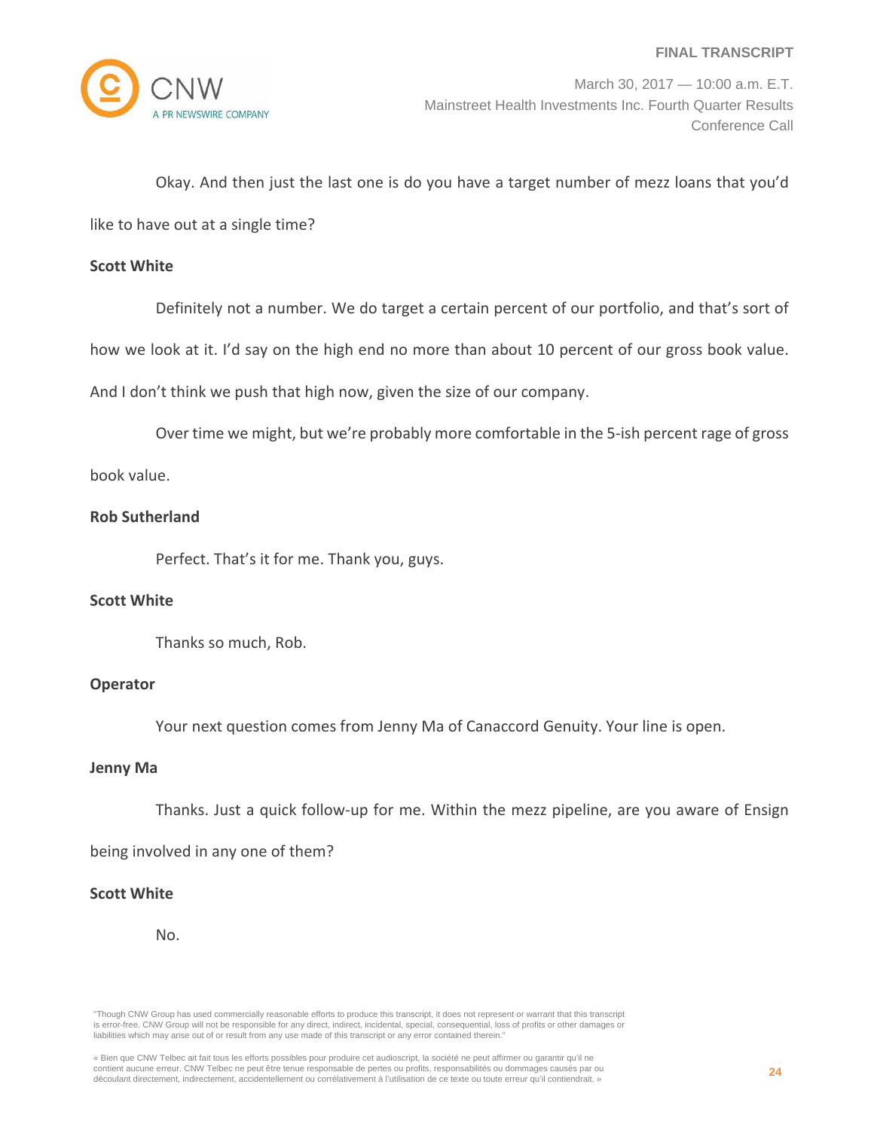

# Okay. And then just the last one is do you have a target number of mezz loans that you'd

like to have out at a single time?

### **Scott White**

Definitely not a number. We do target a certain percent of our portfolio, and that's sort of

how we look at it. I'd say on the high end no more than about 10 percent of our gross book value.

And I don't think we push that high now, given the size of our company.

Over time we might, but we're probably more comfortable in the 5-ish percent rage of gross

book value.

# **Rob Sutherland**

Perfect. That's it for me. Thank you, guys.

### **Scott White**

Thanks so much, Rob.

### **Operator**

Your next question comes from Jenny Ma of Canaccord Genuity. Your line is open.

# **Jenny Ma**

Thanks. Just a quick follow‐up for me. Within the mezz pipeline, are you aware of Ensign

being involved in any one of them?

# **Scott White**

No.

"Though CNW Group has used commercially reasonable efforts to produce this transcript, it does not represent or warrant that this transcript is error-free. CNW Group will not be responsible for any direct, indirect, incidental, special, consequential, loss of profits or other damages or liabilities which may arise out of or result from any use made of this transcript or any error contained therein."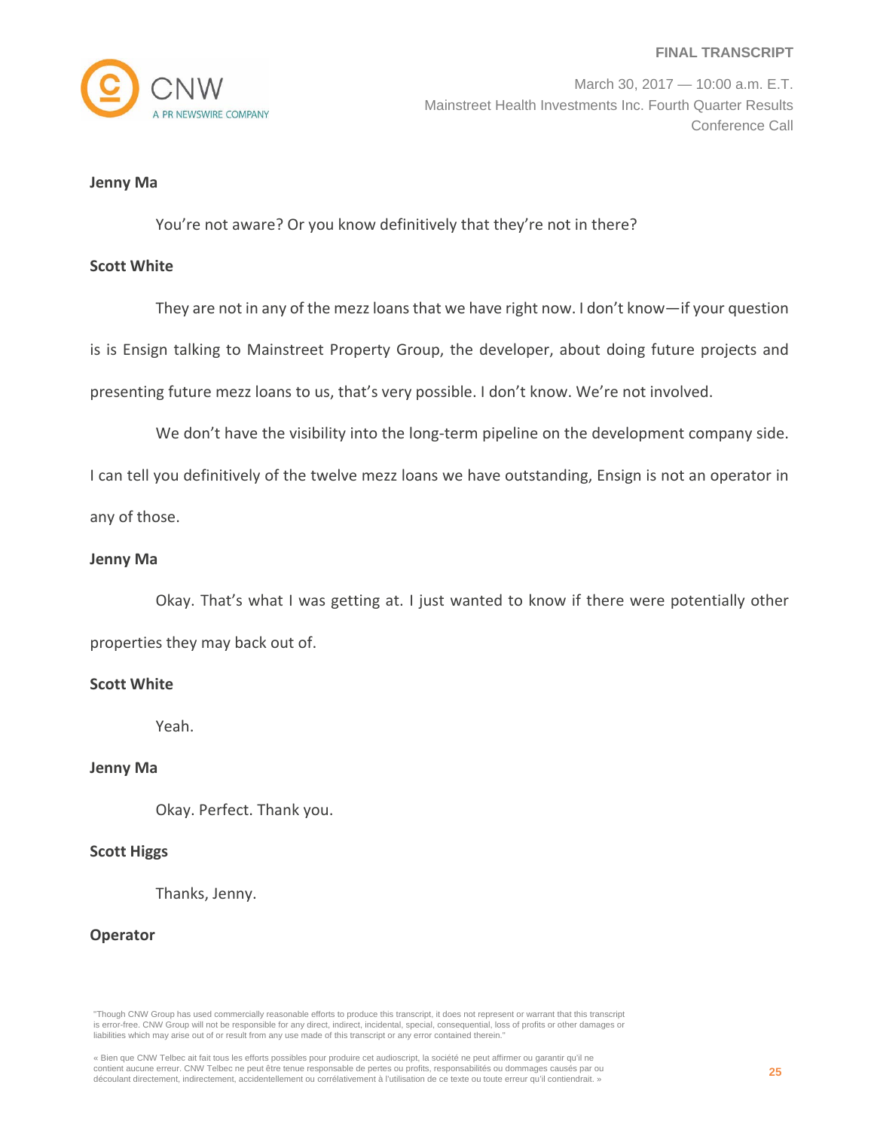

March 30, 2017 — 10:00 a.m. E.T. Mainstreet Health Investments Inc. Fourth Quarter Results Conference Call

#### **Jenny Ma**

You're not aware? Or you know definitively that they're not in there?

#### **Scott White**

They are not in any of the mezz loans that we have right now. I don't know—if your question is is Ensign talking to Mainstreet Property Group, the developer, about doing future projects and presenting future mezz loans to us, that's very possible. I don't know. We're not involved.

We don't have the visibility into the long-term pipeline on the development company side.

I can tell you definitively of the twelve mezz loans we have outstanding, Ensign is not an operator in any of those.

#### **Jenny Ma**

Okay. That's what I was getting at. I just wanted to know if there were potentially other properties they may back out of.

# **Scott White**

Yeah.

### **Jenny Ma**

Okay. Perfect. Thank you.

### **Scott Higgs**

Thanks, Jenny.

#### **Operator**

"Though CNW Group has used commercially reasonable efforts to produce this transcript, it does not represent or warrant that this transcript is error-free. CNW Group will not be responsible for any direct, indirect, incidental, special, consequential, loss of profits or other damages or liabilities which may arise out of or result from any use made of this transcript or any error contained therein."